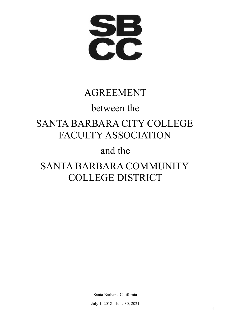**SB** 

# AGREEMENT

# between the

# SANTA BARBARA CITY COLLEGE FACULTY ASSOCIATION

# and the

# SANTA BARBARA COMMUNITY COLLEGE DISTRICT

Santa Barbara, California

July 1, 2018 - June 30, 2021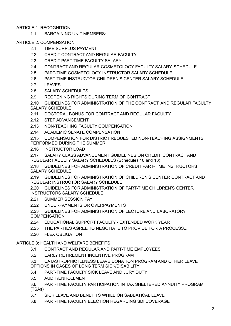# ARTICLE 1: RECOGNITION

1.1 BARGAINING UNIT MEMBERS:

# ARTICLE 2: COMPENSATION

- 2.1 TIME SURPLUS PAYMENT
- 2.2 CREDIT CONTRACT AND REGULAR FACULTY
- 2.3 CREDIT PART-TIME FACULTY SALARY
- 2.4 CONTRACT AND REGULAR COSMETOLOGY FACULTY SALARY SCHEDULE
- 2.5 PART-TIME COSMETOLOGY INSTRUCTOR SALARY SCHEDULE
- 2.6 PART-TIME INSTRUCTOR CHILDREN'S CENTER SALARY SCHEDULE
- 2.7 LEAVES
- 2.8 SALARY SCHEDULES
- 2.9 REOPENING RIGHTS DURING TERM OF CONTRACT

2.10 GUIDELINES FOR ADMINISTRATION OF THE CONTRACT AND REGULAR FACULTY SALARY SCHEDULE

- 2.11 DOCTORAL BONUS FOR CONTRACT AND REGULAR FACULTY
- 2.12 STEP ADVANCEMENT
- 2.13 NON-TEACHING FACULTY COMPENSATION
- 2.14 ACADEMIC SENATE COMPENSATION
- 2.15 COMPENSATION FOR DISTRICT REQUESTED NON-TEACHING ASSIGNMENTS PERFORMED DURING THE SUMMER
- 2.16 INSTRUCTOR LOAD
- 2.17 SALARY CLASS ADVANCEMENT GUIDELINES ON CREDIT CONTRACT AND REGULAR FACULTY SALARY SCHEDULES (Schedules 10 and 13)

2.18 GUIDELINES FOR ADMINISTRATION OF CREDIT PART-TIME INSTRUCTORS SALARY SCHEDULE

2.19 GUIDELINES FOR ADMINISTRATION OF CHILDREN'S CENTER CONTRACT AND REGULAR INSTRUCTOR SALARY SCHEDULE

2.20 GUIDELINES FOR ADMINISTRATION OF PART-TIME CHILDREN'S CENTER INSTRUCTORS SALARY SCHEDULE

- 2.21 SUMMER SESSION PAY
- 2.22 UNDERPAYMENTS OR OVERPAYMENTS

2.23 GUIDELINES FOR ADMINISTRATION OF LECTURE AND LABORATORY **COMPENSATION** 

- 2.24 EDUCATIONAL SUPPORT FACULTY EXTENDED WORK YEAR
- 2.25 THE PARTIES AGREE TO NEGOTIATE TO PROVIDE FOR A PROCESS...
- 2.26 FLEX OBLIGATION

# ARTICLE 3: HEALTH AND WELFARE BENEFITS

- 3.1 CONTRACT AND REGULAR AND PART-TIME EMPLOYEES
- 3.2 EARLY RETIREMENT INCENTIVE PROGRAM
- 3.3 CATASTROPHIC ILLNESS LEAVE DONATION PROGRAM AND OTHER LEAVE OPTIONS IN CASES OF LONG TERM SICK/DISABILITY
- 3.4 PART-TIME FACULTY SICK LEAVE AND JURY DUTY
- 3.5 [AUDIT/ENROLLMENT](/h.8f47hz3s26eh)
- 3.6 PART-TIME FACULTY PARTICIPATION IN TAX SHELTERED ANNUITY PROGRAM (TSAs)
- 3.7 SICK LEAVE AND BENEFITS WHILE ON SABBATICAL LEAVE
- 3.8 PART-TIME FACULTY ELECTION REGARDING SDI COVERAGE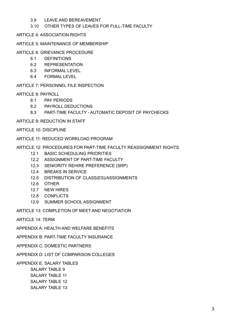# 3.9 LEAVE AND BEREAVEMENT

## 3.10 OTHER TYPES OF LEAVES FOR FULL-TIME FACULTY

ARTICLE 4: ASSOCIATION RIGHTS

## ARTICLE 5: MAINTENANCE OF MEMBERSHIP

### ARTICLE 6: GRIEVANCE PROCEDURE

- 6.1 [DEFINITIONS](/h.jku21vol1xc5)
- 6.2 REPRESENTATION
- 6.3 INFORMAL LEVEL
- 6.4 FORMAL LEVEL

ARTICLE 7: PERSONNEL FILE INSPECTION

#### ARTICLE 8: PAYROLL

- 8.1 PAY PERIODS
- 8.2 PAYROLL DEDUCTIONS
- 8.3 PART-TIME FACULTY AUTOMATIC DEPOSIT OF PAYCHECKS

ARTICLE 9: REDUCTION IN STAFF

- ARTICLE 10: DISCIPLINE
- ARTICLE 11: REDUCED WORKLOAD PROGRAM

#### ARTICLE 12: PROCEDURES FOR PART-TIME FACULTY REASSIGNMENT RIGHTS

- 12.1 BASIC SCHEDULING PRIORITIES
- 12.2 ASSIGNMENT OF PART-TIME FACULTY
- 12.3 SENIORITY REHIRE PREFERENCE (SRP)
- 12.4 BREAKS IN SERVICE
- 12.5 DISTRIBUTION OF CLASS(ES)/ASSIGNMENTS
- 12.6 OTHER
- 12.7 NEW HIRES
- 12.8 CONFLICTS
- 12.9 SUMMER SCHOOL ASSIGNMENT

ARTICLE 13: COMPLETION OF MEET AND NEGOTIATION

ARTICLE 14: TERM

APPENDIX A: HEALTH AND WELFARE BENEFITS

APPENDIX B: PART-TIME FACULTY INSURANCE

APPENDIX C: DOMESTIC PARTNERS

APPENDIX D: LIST OF COMPARISON COLLEGES

APPENDIX E: SALARY TABLES SALARY TABLE 9 SALARY TABLE 11

> SALARY TABLE 12 SALARY TABLE 13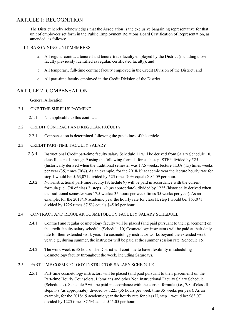# ARTICLE 1: RECOGNITION

The District hereby acknowledges that the Association is the exclusive bargaining representative for that unit of employees set forth in the Public Employment Relations Board Certification of Representation, as amended, as follows:

#### 1.1 BARGAINING UNIT MEMBERS:

- a. All regular contract, tenured and tenure-track faculty employed by the District (including those faculty previously identified as regular, certificated faculty); and
- b. All temporary, full-time contract faculty employed in the Credit Division of the District; and
- c. All part-time faculty employed in the Credit Division of the District

# ARTICLE 2: COMPENSATION

General Allocation

- 2.1 ONE TIME SURPLUS PAYMENT
	- 2.1.1 Not applicable to this contract.

## 2.2 CREDIT CONTRACT AND REGULAR FACULTY

2.2.1 Compensation is determined following the guidelines of this article.

#### 2.3 CREDIT PART-TIME FACULTY SALARY

- 2.3.1 Instructional Credit part-time faculty salary Schedule 11 will be derived from Salary Schedule 10, class II, steps 1 through 9 using the following formula for each step: STEP divided by 525 (historically derived when the traditional semester was 17.5 weeks: lecture TLUs (15) times weeks per year (35) times 70%). As an example, for the 2018/19 academic year the lecture hourly rate for step 1 would be: \$ 63,071 divided by 525 times 70% equals \$ 84.09 per hour.
- 2.3.2 Non-instructional part-time faculty (Schedule 9) will be paid in accordance with the current formula (i.e., 7/8 of class 2, steps 1-9 (as appropriate), divided by 1225 (historically derived when the traditional semester was 17.5 weeks: 35 hours per week times 35 weeks per year). As an example, for the 2018/19 academic year the hourly rate for class II, step I would be: \$63,071 divided by 1225 times 87.5% equals \$45.05 per hour.

## 2.4 CONTRACT AND REGULAR COSMETOLOGY FACULTY SALARY SCHEDULE

- 2.4.1 Contract and regular cosmetology faculty will be placed (and paid pursuant to their placement) on the credit faculty salary schedule (Schedule 10) Cosmetology instructors will be paid at their daily rate for their extended work year. If a cosmetology instructor works beyond the extended work year, e.g., during summer, the instructor will be paid at the summer session rate (Schedule 15).
- 2.4.2 The work week is 35 hours. The District will continue to have flexibility in scheduling Cosmetology faculty throughout the week, including Saturdays.

### 2.5 PART-TIME COSMETOLOGY INSTRUCTOR SALARY SCHEDULE

2.5.1 Part-time cosmetology instructors will be placed (and paid pursuant to their placement) on the Part-time Hourly Counselors, Librarians and other Non Instructional Faculty Salary Schedule (Schedule 9). Schedule 9 will be paid in accordance with the current formula (i.e., 7/8 of class II, steps 1-9 (as appropriate), divided by 1225 (35 hours per week time 35 weeks per year). As an example, for the 2018/19 academic year the hourly rate for class II, step 1 would be: \$63,071 divided by 1225 times 87.5% equals \$45.05 per hour.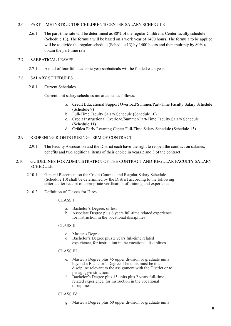#### 2.6 PART-TIME INSTRUCTOR CHILDREN'S CENTER SALARY SCHEDULE

2.6.1 The part-time rate will be determined as 80% of the regular Children's Center faculty schedule (Schedule 13). The formula will be based on a work year of 1400 hours. The formula to be applied will be to divide the regular schedule (Schedule 13) by 1400 hours and then multiply by 80% to obtain the part-time rate.

#### 2.7 SABBATICAL LEAVES

- 2.7.1 A total of four full academic year sabbaticals will be funded each year.
- 2.8 SALARY SCHEDULES
	- 2.8.1 Current Schedules

Current unit salary schedules are attached as follows:

- a. Credit Educational Support Overload/Summer/Part-Time Faculty Salary Schedule (Schedule 9)
- b. Full-Time Faculty Salary Schedule (Schedule 10)
- c. Credit Instructional Overload/Summer/Part-Time Faculty Salary Schedule (Schedule 11)
- d. Orfalea Early Learning Center Full-Time Salary Schedule (Schedule 13)

#### 2.9 REOPENING RIGHTS DURING TERM OF CONTRACT

- 2.9.1 The Faculty Association and the District each have the right to reopen the contract on salaries, benefits and two additional items of their choice in years 2 and 3 of the contract.
- 2.10 GUIDELINES FOR ADMINISTRATION OF THE CONTRACT AND REGULAR FACULTY SALARY **SCHEDULE** 
	- 2.10.1 General Placement on the Credit Contract and Regular Salary Schedule (Schedule 10) shall be determined by the District according to the following criteria after receipt of appropriate verification of training and experience.
	- 2.10.2 Definition of Classes for Hires

CLASS I

- a. Bachelor's Degree, or less
- b. Associate Degree plus 6 years full-time related experience for instruction in the vocational disciplines

#### CLASS II

- c. Master's Degree
- d. Bachelor's Degree plus 2 years full-time related experience, for instruction in the vocational disciplines.

#### CLASS III

- e. Master's Degree plus 45 upper division or graduate units beyond a Bachelor's Degree. The units must be in a discipline relevant to the assignment with the District or to pedagogy/instruction.
- f. Bachelor's Degree plus 15 units plus 2 years full-time related experience, for instruction in the vocational disciplines.

CLASS IV

g. Master's Degree plus 60 upper division or graduate units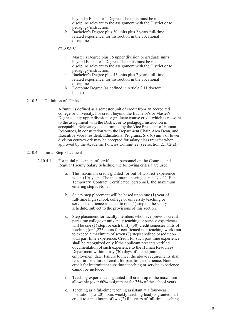beyond a Bachelor's Degree. The units must be in a discipline relevant to the assignment with the District or to pedagogy/instruction.

h. Bachelor's Degree plus 30 units plus 2 years full-time related experience, for instruction in the vocational disciplines.

#### CLASS V

- i. Master's Degree plus 75 upper division or graduate units beyond Bachelor's Degree. The units must be in a discipline relevant to the assignment with the District or to pedagogy/instruction.
- j. Bachelor's Degree plus 45 units plus 2 years full-time related experience, for instruction in the vocational disciplines.
- k. Doctorate Degree (as defined in Article 2.11 doctoral bonus)

#### 2.10.3 Definition of "Units":

A "unit" is defined as a semester unit of credit from an accredited college or university. For credit beyond the Bachelor's or Master's Degrees, only upper division or graduate course credit which is relevant to the assignment with the District or to pedagogy/instruction is acceptable. Relevancy is determined by the Vice President of Human Resources, in consultation with the Department Chair, Area Dean, and Executive Vice President, Educational Programs. Six (6) units of lower division coursework may be accepted for salary class transfer when approved by the Academic Policies Committee (see section 2.17.2(a)).

#### 2.10.4 Initial Step Placement

- 2.10.4.1 For initial placement of certificated personnel on the Contract and Regular Faculty Salary Schedule, the following criteria are used:
	- a. The maximum credit granted for out-of-District experience is ten (10) years. The maximum entering step is No. 11. For Temporary Contract Certificated personnel, the maximum entering step is No. 7.
	- b. Salary step placement will be based upon one (1) year of full-time high school, college or university teaching or service experience as equal to one (1) step on the salary schedule, subject to the provisions of this section.
	- c. Step placement for faculty members who have previous credit part-time college or university teaching or service experience will be one (1) step for each thirty (30) credit semester units of teaching (or 1,225 hours for certificated non-teaching work) not to exceed a maximum of seven (7) steps credited based upon total part-time experience. Credit for such part time experience shall be recognized only if the applicant presents verified documentation of such experience to the Human Resources Department within thirty  $(30)$  days of the beginning employment date. Failure to meet the above requirements shall result in forfeiture of credit for part-time experience. Note: credit for intermittent substitute teaching or service experience cannot be included.
	- d. Teaching experience is granted full credit up to the maximum allowable (over 60% assignment for 75% of the school year).
	- e. Teaching as a full-time teaching assistant at a four-year institution (15-20) hours weekly teaching load) is granted half credit to a maximum of two (2) full years of full-time teaching.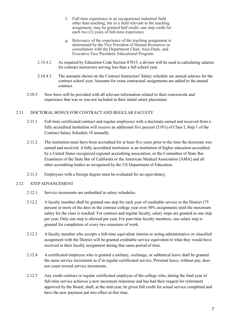- f. Full-time experience in an occupational industrial field other than teaching, but in a field relevant to the teaching assignment, may be granted half credit; one step credit for each two  $(2)$  years of full-time experience.
- g. Relevancy of the experience of the teaching assignment is determined by the Vice President of Human Resources in consultation with the Department Chair, Area Dean, and Executive Vice President, Educational Program.
- 2.10.4.2 As required by Education Code Section 87815, a divisor will be used in calculating salaries for contract instructors serving less than a full school year.
- 2.10.4.3 The amounts shown on the Contract Instructors' Salary schedule are annual salaries for the contract school year. Amounts for extra contractual assignments are added to the annual contract.
- 2.10.5 New hires will be provided with all relevant information related to their coursework and experience that was or was not included in their initial salary placement.

#### 2.11 DOCTORAL BONUS FOR CONTRACT AND REGULAR FACULTY

- 2.11.1 Full-time certificated contract and regular employees with a doctorate earned and received from a fully accredited institution will receive an additional five percent (5.0%) of Class I, Step 1 of the Contract Salary Schedule 10 annually.
- 2.11.2 The institution must have been accredited for at least five years prior to the time the doctorate was earned and received. A fully accredited institution is an institution of higher education accredited by a United States recognized regional accrediting association, or the Committee of State Bar Examiners of the State Bar of California or the American Medical Association [AMA] and all other accrediting bodies as recognized by the US Department of Education.
- 2.11.3 Employees with a foreign degree must be evaluated for an equivalency.

#### 2.12 STEP ADVANCEMENT

- 2.12.1 Service increments are embedded in salary schedules.
- 2.12.2 A faculty member shall be granted one step for each year of creditable service to the District (75 percent or more of the days in the contract college year over 50% assignment) until the maximum salary for the class is reached. For contract and regular faculty, salary steps are granted as one step per year. Only one step is allowed per year. For part-time faculty members, one salary step is granted for completion of every two semesters of work.
- 2.12.3 A faculty member who accepts a full-time equivalent interim or acting administrative or classified assignment with the District will be granted creditable service equivalent to what they would have received in their faculty assignment during that same period of time.
- 2.12.4 A certificated employee who is granted a military, exchange, or sabbatical leave shall be granted the same service increments as if in regular certificated service. Personal leave, without pay, does not count toward service increments.
- 2.12.5 Any credit contract or regular certificated employee of the college who, during the final year of full-time service achieves a new increment milestone and has had their request for retirement approved by the Board, shall, at the mid-year, be given full credit for actual service completed and have the new payment put into effect at that time.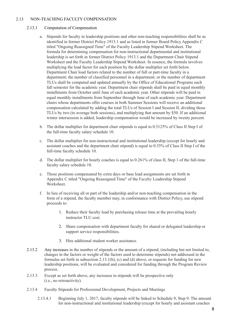#### 2.13 NON-TEACHING FACULTY COMPENSATION

#### 2.13.1 Computation of Compensation

- a. Stipends for faculty in leadership positions and other non-teaching responsibilities shall be as identified in former District Policy 1913.1 and as listed in former Board Policy Appendix C titled "Ongoing Reassigned Time" of the Faculty Leadership Stipend Worksheet. The formula for determining compensation for non-instructional departmental and institutional leadership is set forth in former District Policy 1913.1 and the Department Chair Stipend Worksheet and the Faculty Leadership Stipend Worksheet. In essence, the formula involves multiplying the load factor for each position by the dollar multiplier set forth below. Department Chair load factors related to the number of full or part-time faculty in a department; the number of classified personnel in a department; or the number of department TLUs shall be computed and updated annually by the Office of Educational Programs each fall semester for the academic year. Department chair stipends shall be paid in equal monthly installments from October until June of each academic year. Other stipends will be paid in equal monthly installments from September through June of each academic year. Department chairs whose departments offer courses in both Summer Sessions will receive an additional compensation calculated by adding the total TLUs of Session I and Session II, dividing those TLUs by two (to average both sessions), and multiplying that amount by \$50. If an additional winter intersession is added, leadership compensation would be increased by twenty percent.
- b. The dollar multiplier for department chair stipends is equal to 0.5125% of Class II Step I of the full-time faculty salary schedule 10.
- c. The dollar multiplier for non-instructional and institutional leadership (except for hourly and assistant coaches and the department chair stipend) is equal to 0.35% of Class II Step I of the full-time faculty schedule 10.
- d. The dollar multiplier for hourly coaches is equal to 0.261% of class II, Step 1 of the full-time faculty salary schedule 10.
- e. Those positions compensated by extra days or base load assignments are set forth in Appendix C titled "Ongoing Reassigned Time" of the Faculty Leadership Stipend **Worksheet**
- f. In lieu of receiving all or part of the leadership and/or non-teaching compensation in the form of a stipend, the faculty member may, in conformance with District Policy, use stipend proceeds to:
	- 1. Reduce their faculty load by purchasing release time at the prevailing hourly instructor TLU cost.
	- 2. Share compensation with department faculty for shared or delegated leadership or support service responsibilities.
	- 3. Hire additional student worker assistance.
- 2.13.2 Any increases in the number of stipends or the amount of a stipend, (including but not limited to, changes in the factors or weight of the factors used to determine stipends) not addressed in the formulas set forth in subsection 2.13.1(b), (c) and (d) above, or requests for funding for new leadership positions, will be evaluated and considered for funding through the Program Review process.
- 2.13.3 Except as set forth above, any increases in stipends will be prospective only (i.e., no retroactivity).
- 2.13.4 Faculty Stipends for Professional Development, Projects and Meetings
	- 2.13.4.1 Beginning July 1, 2017, faculty stipends will be linked to Schedule 9, Step 9. The amount for non-instructional and institutional leadership (except for hourly and assistant coaches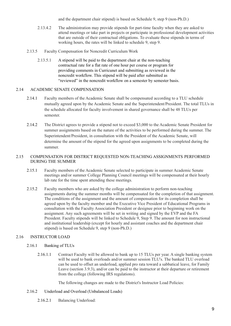and the department chair stipend) is based on Schedule 9, step 9 (non-Ph.D.)

- 2.13.4.2 The administration may provide stipends for part-time faculty when they are asked to attend meetings or take part in projects or participate in professional development activities that are outside of their contractual obligations. To evaluate these stipends in terms of working hours, the rates will be linked to schedule 9, step 9.
- 2.13.5 Faculty Compensation for Noncredit Curriculum Work
	- 2.13.5.1 A stipend will be paid to the department chair at the non-teaching contractual rate for a flat rate of one hour per course or program for providing comments in Curricunet and submitting as reviewed in the noncredit workflow. This stipend will be paid after submitted as "reviewed" in the noncredit workflow on a semester by semester basis.

#### 2.14 ACADEMIC SENATE COMPENSATION

- 2.14.1 Faculty members of the Academic Senate shall be compensated according to a TLU schedule mutually agreed upon by the Academic Senate and the Superintendent/President. The total TLUs in the schedule allocated for faculty involvement in shared governance shall be 48 TLUs per semester.
- 2.14.2 The District agrees to provide a stipend not to exceed \$3,000 to the Academic Senate President for summer assignments based on the nature of the activities to be performed during the summer. The Superintendent/President, in consultation with the President of the Academic Senate, will determine the amount of the stipend for the agreed upon assignments to be completed during the summer.

#### 2.15 COMPENSATION FOR DISTRICT REQUESTED NON-TEACHING ASSIGNMENTS PERFORMED DURING THE SUMMER

- 2.15.1 Faculty members of the Academic Senate selected to participate in summer Academic Senate meetings and/or summer College Planning Council meetings will be compensated at their hourly lab rate for the time spent attending these meetings.
- 2.15.2 Faculty members who are asked by the college administration to perform non-teaching assignments during the summer months will be compensated for the completion of that assignment. The conditions of the assignment and the amount of compensation for its completion shall be agreed upon by the faculty member and the Executive Vice President of Educational Programs in consultation with the Faculty Association President or designee prior to beginning work on the assignment. Any such agreements will be set in writing and signed by the EVP and the FA President. Faculty stipends will be linked to Schedule 9, Step 9. The amount for non instructional and institutional leadership (except for hourly and assistant coaches and the department chair stipend) is based on Schedule 9, step 9 (non-Ph.D.)

## 2.16 INSTRUCTOR LOAD

#### 2.16.1 Banking of TLUs

2.16.1.1 Contract Faculty will be allowed to bank up to 15 TLUs per year. A single banking system will be used to bank overloads and/or summer session TLU's. The banked TLU overload can be used to offset an underload, applied pro rata toward a sabbatical leave, for Family Leave (section 3.9.3), and/or can be paid to the instructor at their departure or retirement from the college (following IRS regulations).

The following changes are made to the District's Instructor Load Policies:

#### 2.16.2 Underload and Overload (Unbalanced Loads)

2.16.2.1 Balancing Underload: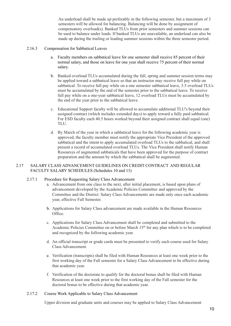An underload shall be made up preferably in the following semester, but a maximum of 3 semesters will be allowed for balancing. Balancing will be done by assignment of compensatory overload(s). Banked TLUs from prior semesters and summer sessions can be used to balance under loads. If banked TLUs are unavailable, an underload can also be made up during the trailing or leading summer sessions within the three semester period.

#### 2.16.3 Compensation for Sabbatical Leaves

- a. Faculty members on sabbatical leave for one semester shall receive 85 percent of their normal salary, and those on leave for one year shall receive 75 percent of their normal salary.
- b. Banked overload TLUs accumulated during the fall, spring and summer session terms may be applied toward a sabbatical leave so that an instructor may receive full pay while on sabbatical. To receive full pay while on a one semester sabbatical leave, 3.5 overload TLUs must be accumulated by the end of the semester prior to the sabbatical leave. To receive full pay while on a one-year sabbatical leave, 12 overload TLUs must be accumulated by the end of the year prior to the sabbatical leave.
- c. Educational Support faculty will be allowed to accumulate additional TLU's beyond their assigned contract (which includes extended days) to apply toward a fully paid sabbatical. For ESD faculty each 40.5 hours worked beyond their assigned contract shall equal (one) TLU.
- d. By March of the year in which a sabbatical leave for the following academic year is approved, the faculty member must notify the appropriate Vice President of the approved sabbatical and the intent to apply accumulated overload TLUs to the sabbatical, and shall present a record of accumulated overload TLUs. The Vice President shall notify Human Resources of augmented sabbaticals that have been approved for the purpose of contract preparation and the amount by which the sabbatical shall be augmented.

#### 2.17 SALARY CLASS ADVANCEMENT GUIDELINES ON CREDIT CONTRACT AND REGULAR FACULTY SALARY SCHEDULES (Schedules 10 and 13)

#### 2.17.1 Procedure for Requesting Salary Class Advancement

- a. Advancement from one class to the next, after initial placement, is based upon plans of advancement developed by the Academic Policies Committee and approved by the Committee and the District. Salary Class Advancements are made only once each academic year, effective Fall Semester.
- b. Applications for Salary Class advancement are made available in the Human Resources Office.
- c. Applications for Salary Class Advancement shall be completed and submitted to the Academic Policies Committee on or before March 15<sup>th</sup> for any plan which is to be completed and recognized by the following academic year.
- d. An official transcript or grade cards must be presented to verify each course used for Salary Class Advancement.
- e. Verification (transcripts) shall be filed with Human Resources at least one week prior to the first working day of the Fall semester for a Salary Class Advancement to be effective during that academic year.
- f. Verification of the doctorate to qualify for the doctoral bonus shall be filed with Human Resources at least one week prior to the first working day of the Fall semester for the doctoral bonus to be effective during that academic year.

#### 2.17.2 Course Work Applicable to Salary Class Advancement

Upper division and graduate units and courses may be applied to Salary Class Advancement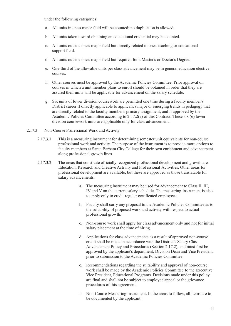under the following categories:

- a. All units in one's major field will be counted; no duplication is allowed.
- b. All units taken toward obtaining an educational credential may be counted.
- c. All units outside one's major field but directly related to one's teaching or educational support field.
- d. All units outside one's major field but required for a Master's or Doctor's Degree.
- e. One-third of the allowable units per class advancement may be in general education elective courses.
- f. Other courses must be approved by the Academic Policies Committee. Prior approval on courses in which a unit member plans to enroll should be obtained in order that they are assured their units will be applicable for advancement on the salary schedule.
- g. Six units of lower division coursework are permitted one time during a faculty member's District career if directly applicable to applicant's major or emerging trends in pedagogy that are directly related to the faculty member's primary assignment, and if approved by the Academic Policies Committee according to 2.l 7.2(a) of this Contract. These six (6) lower division coursework units are applicable only for class advancement.

#### 2.17.3 Non-Course Professional Work and Activity

- 2.17.3.1 This is a measuring instrument for determining semester unit equivalents for non-course professional work and activity. The purpose of the instrument is to provide more options to faculty members at Santa Barbara City College for their own enrichment and advancement along professional growth lines.
- 2.17.3.2 The areas that constitute officially recognized professional development and growth are Education, Research and Creative Activity and Professional Activities. Other areas for professional development are available, but these are approved as those translatable for salary advancements.
	- a. The measuring instrument may be used for advancement to Class II, III, IV and V on the current salary schedule. The measuring instrument is also to apply only to credit regular certificated employees.
	- b. Faculty shall carry any proposal to the Academic Policies Committee as to the suitability of proposed work and activity with respect to actual professional growth.
	- c. Non-course work shall apply for class advancement only and not for initial salary placement at the time of hiring.
	- d. Applications for class advancements as a result of approved non-course credit shall be made in accordance with the District's Salary Class Advancement Policy and Procedures (Section 2.17.2), and must first be approved by the applicant's department, Division Dean and Vice President prior to submission to the Academic Policies Committee.
	- e. Recommendations regarding the suitability and approval of non-course work shall be made by the Academic Policies Committee to the Executive Vice President, Educational Programs. Decisions made under this policy are final and shall not be subject to employee appeal or the grievance procedures of this agreement.
	- f. Non-Course Measuring Instrument. In the areas to follow, all items are to be documented by the applicant: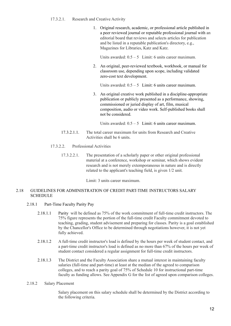#### 17.3.2.1. Research and Creative Activity

1. Original research, academic, or professional article published in a peer reviewed journal or reputable professional journal with an editorial board that reviews and selects articles for publication and be listed in a reputable publication's directory, e.g., Magazines for Libraries, Katz and Katz.

Units awarded:  $0.5 - 5$  Limit: 6 units career maximum.

2. An original, peer-reviewed textbook, workbook, or manual for classroom use, depending upon scope, including validated zero-cost text development.

Units awarded:  $0.5 - 5$  Limit: 6 units career maximum.

3. An original creative work published in a discipline-appropriate publication or publicly presented as a performance, showing, commissioned or juried display of art, film, musical composition, audio or video work. Self-published books shall not be considered.

Units awarded:  $0.5 - 5$  Limit: 6 units career maximum.

- 17.3.2.1.1. The total career maximum for units from Research and Creative Activities shall be 6 units.
- 17.3.2.2. Professional Activities
	- 17.3.2.2.1. The presentation of a scholarly paper or other original professional material at a conference, workshop or seminar, which shows evident research and is not merely extemporaneous in nature and is directly related to the applicant's teaching field, is given 1/2 unit.

Limit: 3 units career maximum.

#### 2.18 GUIDELINES FOR ADMINISTRATION OF CREDIT PART-TIME INSTRUCTORS SALARY **SCHEDULE**

#### 2.18.1 Part-Time Faculty Parity Pay

- 2.18.1.1 Parity will be defined as 75% of the work commitment of full-time credit instructors. The 75% figure represents the portion of the full-time credit Faculty commitment devoted to teaching, grading, student advisement and preparing for classes. Parity is a goal established by the Chancellor's Office to be determined through negotiations however, it is not yet fully achieved.
- 2.18.1.2 A full-time credit instructor's load is defined by the hours per week of student contact, and a part-time credit instructor's load is defined as no more than 67% of the hours per week of student contact considered a regular assignment for full-time credit instructors.
- 2.18.1.3 The District and the Faculty Association share a mutual interest in maintaining faculty salaries (full-time and part-time) at least at the median of the agreed to comparison colleges, and to reach a parity goal of 75% of Schedule 10 for instructional part-time faculty as funding allows. See Appendix G for the list of agreed upon comparison colleges.

#### 2.18.2 Salary Placement

Salary placement on this salary schedule shall be determined by the District according to the following criteria.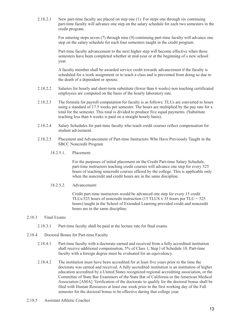2.18.2.1 New part-time faculty are placed on step one (1). For steps one through six continuing part-time faculty will advance one step on the salary schedule for each two semesters in the credit program.

> For entering steps seven (7) through nine (9) continuing part-time faculty will advance one step on the salary schedule for each four semesters taught in the credit program.

Part-time faculty advancement to the next higher step will become effective when these semesters have been completed whether at mid-year or at the beginning of a new school year.

A faculty member shall be awarded service credit towards advancement if the faculty is scheduled for a work assignment or to teach a class and is prevented from doing so due to the death of a dependent or spouse.

- 2.18.2.2 Salaries for hourly and short-term substitute (fewer than 6 weeks) non teaching certificated employees are computed on the basis of the hourly laboratory rate.
- 2.18.2.3 The formula for payroll computation for faculty is as follows: TLUs are converted to hours using a standard of 17.5 weeks per semester. The hours are multiplied by the pay rate for a total for the semester. This total is divided to produce five equal payments. (Substitute teaching less than 6 weeks is paid on a straight hourly basis).
- 2.18.2.4 Salary Schedules for part-time faculty who teach credit courses reflect compensation for student advisement.
- 2.18.2.5 Placement and Advancement of Part-time Instructors Who Have Previously Taught in the SBCC Noncredit Program
	- 18.2.5.1. Placement:

For the purposes of initial placement on the Credit Part-time Salary Schedule, part-time instructors teaching credit courses will advance one step for every 525 hours of teaching noncredit courses offered by the college. This is applicable only when the noncredit and credit hours are in the same discipline.

18.2.5.2. Advancement:

Credit part-time instructors would be advanced one step for every 15 credit TLUs/525 hours of noncredit instruction (15 TLUS x 35 hours per TLU =  $525$ ) hours) taught in the School of Extended Learning provided credit and noncredit hours are in the same discipline.

#### 2.18.3 Final Exams

- 2.18.3.1 Part-time faculty shall be paid at the lecture rate for final exams.
- 2.18.4 Doctoral Bonus for Part-time Faculty
	- 2.18.4.1 Part-time faculty with a doctorate earned and received from a fully accredited institution shall receive additional compensation, 5% of Class 1, Step l of Schedule 10. Part-time faculty with a foreign degree must be evaluated for an equivalency.
	- 2.18.4.2 The institution must have been accredited for at least five years prior to the time the doctorate was earned and received. A fully accredited institution is an institution of higher education accredited by a United States recognized regional accrediting association, or the Committee of State Bar Examiners of the State Bar of California or the American Medical Association [AMA]. Verification of the doctorate to qualify for the doctoral bonus shall be filed with Human Resources at least one week prior to the first working day of the Fall semester for the doctoral bonus to be effective during that college year.
- 2.18.5 Assistant Athletic Coaches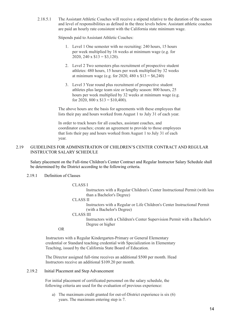2.18.5.1 The Assistant Athletic Coaches will receive a stipend relative to the duration of the season and level of responsibilities as defined in the three levels below. Assistant athletic coaches are paid an hourly rate consistent with the California state minimum wage.

Stipends paid to Assistant Athletic Coaches:

- 1. Level 1 One semester with no recruiting: 240 hours, 15 hours per week multiplied by 16 weeks at minimum wage (e.g. for 2020, 240 x  $$13 = $3,120$ .
- 2. Level 2 Two semesters plus recruitment of prospective student athletes: 480 hours, 15 hours per week multiplied by 32 weeks at minimum wage (e.g. for 2020, 480 x  $$13 = $6,240$ )
- 3. Level 3 Year round plus recruitment of prospective student athletes plus large team size or lengthy season: 800 hours, 25 hours per week multiplied by 32 weeks at minimum wage (e.g. for 2020, 800 x  $$13 = $10,400$ .

The above hours are the basis for agreements with these employees that lists their pay and hours worked from August 1 to July 31 of each year.

In order to track hours for all coaches, assistant coaches, and coordinator coaches; create an agreement to provide to those employees that lists their pay and hours worked from August 1 to July 31 of each year.

#### 2.19 GUIDELINES FOR ADMINISTRATION OF CHILDREN'S CENTER CONTRACT AND REGULAR INSTRUCTOR SALARY SCHEDULE

Salary placement on the Full-time Children's Center Contract and Regular Instructor Salary Schedule shall be determined by the District according to the following criteria.

#### 2.19.1 Definition of Classes

#### CLASS<sub>I</sub>

Instructors with a Regular Children's Center Instructional Permit (with less than a Bachelor's Degree)

CLASS II

Instructors with a Regular or Life Children's Center Instructional Permit (with a Bachelor's Degree)

CLASS III

Instructors with a Children's Center Supervision Permit with a Bachelor's Degree or higher

OR

Instructors with a Regular Kindergarten-Primary or General Elementary credential or Standard teaching credential with Specialization in Elementary Teaching, issued by the California State Board of Education.

The Director assigned full-time receives an additional \$500 per month. Head Instructors receive an additional \$109.20 per month.

#### 2.19.2 Initial Placement and Step Advancement

For initial placement of certificated personnel on the salary schedule, the following criteria are used for the evaluation of previous experience:

a) The maximum credit granted for out-of-District experience is six (6) years. The maximum entering step is 7.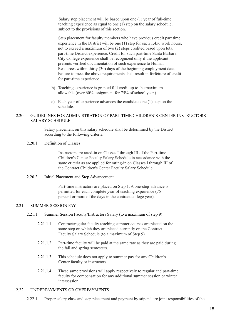Salary step placement will be based upon one (1) year of full-time teaching experience as equal to one (1) step on the salary schedule, subject to the provisions of this section.

Step placement for faculty members who have previous credit part time experience in the District will be one (1) step for each 1,456 work hours, not to exceed a maximum of two (2) steps credited based upon total part-time District experience. Credit for such part-time Santa Barbara City College experience shall be recognized only if the applicant presents verified documentation of such experience to Human Resources within thirty (30) days of the beginning employment date. Failure to meet the above requirements shall result in forfeiture of credit for part-time experience

- b) Teaching experience is granted full credit up to the maximum allowable (over 60% assignment for 75% of school year.)
- c) Each year of experience advances the candidate one (1) step on the schedule.

#### 2.20 GUIDELINES FOR ADMINISTRATION OF PART-TIME CHILDREN'S CENTER INSTRUCTORS SALARY SCHEDULE

Salary placement on this salary schedule shall be determined by the District according to the following criteria.

#### 2.20.1 Definition of Classes

Instructors are rated-in on Classes I through III of the Part-time Children's Center Faculty Salary Schedule in accordance with the same criteria as are applied for rating-in on Classes I through III of the Contract Children's Center Faculty Salary Schedule.

#### 2.20.2 Initial Placement and Step Advancement

Part-time instructors are placed on Step 1. A one-step advance is permitted for each complete year of teaching experience (75 percent or more of the days in the contract college year).

#### 2.21 SUMMER SESSION PAY

- 2.21.1 Summer Session Faculty/Instructors Salary (to a maximum of step 9)
	- 2.21.1.1 Contract/regular faculty teaching summer courses are placed on the same step on which they are placed currently on the Contract Faculty Salary Schedule (to a maximum of Step 9).
	- 2.21.1.2 Part-time faculty will be paid at the same rate as they are paid during the fall and spring semesters.
	- 2.21.1.3 This schedule does not apply to summer pay for any Children's Center faculty or instructors.
	- 2.21.1.4 These same provisions will apply respectively to regular and part-time faculty for compensation for any additional summer session or winter intersession.

### 2.22 UNDERPAYMENTS OR OVERPAYMENTS

2.22.1 Proper salary class and step placement and payment by stipend are joint responsibilities of the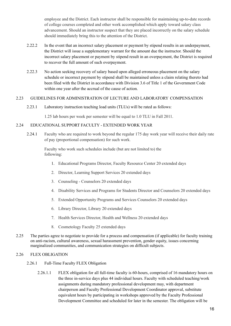employee and the District. Each instructor shall be responsible for maintaining up-to-date records of college courses completed and other work accomplished which apply toward salary class advancement. Should an instructor suspect that they are placed incorrectly on the salary schedule should immediately bring this to the attention of the District.

- 2.22.2 In the event that an incorrect salary placement or payment by stipend results in an underpayment. the District will issue a supplementary warrant for the amount due the instructor. Should the incorrect salary placement or payment by stipend result in an overpayment, the District is required to recover the full amount of such overpayment.
- 2.22.3 No action seeking recovery of salary based upon alleged erroneous placement on the salary schedule or incorrect payment by stipend shall be maintained unless a claim relating thereto had been filed with the District in accordance with Division 3.6 of Title 1 of the Government Code within one year after the accrual of the cause of action.

#### 2.23 GUIDELINES FOR ADMINISTRATION OF LECTURE AND LABORATORY COMPENSATION

2.23.1 Laboratory instruction teaching load units (TLUs) will be rated as follows:

1.25 lab hours per week per semester will be equal to 1.0 TLU in Fall 2011.

#### 2.24 EDUCATIONAL SUPPORT FACULTY - EXTENDED WORK YEAR

2.24.1 Faculty who are required to work beyond the regular 175 day work year will receive their daily rate of pay (proportional compensation) for such work.

Faculty who work such schedules include (but are not limited to) the following:

- 1. Educational Programs Director, Faculty Resource Center 20 extended days
- 2. Director, Learning Support Services 20 extended days
- 3. Counseling Counselors 20 extended days
- 4. Disability Services and Programs for Students Director and Counselors 20 extended days
- 5. Extended Opportunity Programs and Services Counselors 20 extended days
- 6. Library Director, Library 20 extended days
- 7. Health Services Director, Health and Wellness 20 extended days
- 8. Cosmetology Faculty 25 extended days
- 2.25 The parties agree to negotiate to provide for a process and compensation (if applicable) for faculty training on anti-racism, cultural awareness, sexual harassment prevention, gender equity, issues concerning marginalized communities, and communication strategies on difficult subjects.

#### 2.26 FLEX OBLIGATION

- 2.26.1 Full-Time Faculty FLEX Obligation
	- 2.26.1.1 FLEX obligation for all full-time faculty is 60-hours, comprised of 16 mandatory hours on the three in-service days plus 44 individual hours. Faculty with scheduled teaching/work assignments during mandatory professional development may, with department chairperson and Faculty Professional Development Coordinator approval, substitute equivalent hours by participating in workshops approved by the Faculty Professional Development Committee and scheduled for later in the semester. The obligation will be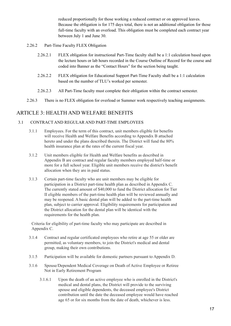reduced proportionally for those working a reduced contract or on approved leaves. Because the obligation is for 175 days total, there is not an additional obligation for those full-time faculty with an overload. This obligation must be completed each contract year between July 1 and June 30.

- 2.26.2 Part-Time Faculty FLEX Obligation
	- 2.26.2.1 FLEX obligation for instructional Part-Time faculty shall be a 1:1 calculation based upon the lecture hours or lab hours recorded in the Course Outline of Record for the course and coded into Banner as the "Contact Hours" for the section being taught.
	- 2.26.2.2 FLEX obligation for Educational Support Part-Time Faculty shall be a 1:1 calculation based on the number of TLU's worked per semester.
	- 2.26.2.3 All Part-Time faculty must complete their obligation within the contract semester.
- 2.26.3 There is no FLEX obligation for overload or Summer work respectively teaching assignments.

# ARTICLE 3: HEALTH AND WELFARE BENEFITS

#### 3.1 CONTRACT AND REGULAR AND PART-TIME EMPLOYEES

- 3.1.1 Employees. For the term of this contract, unit members eligible for benefits will receive Health and Welfare Benefits according to Appendix B attached hereto and under the plans described therein. The District will fund the 80% health insurance plan at the rates of the current fiscal year.
- 3.1.2 Unit members eligible for Health and Welfare benefits as described in Appendix B are contract and regular faculty members employed half-time or more for a full school year. Eligible unit members receive the district's benefit allocation when they are in paid status.
- 3.1.3 Certain part-time faculty who are unit members may be eligible for participation in a District part-time health plan as described in Appendix C. The currently stated amount of \$40,000 to fund the District allocation for Tier II eligible members of the part-time health plan will be reviewed annually and may be reopened. A basic dental plan will be added to the part-time health plan, subject to carrier approval. Eligibility requirements for participation and the District allocation for the dental plan will be identical with the requirements for the health plan.

Criteria for eligibility of part-time faculty who may participate are described in Appendix C.

- 3.1.4 Contract and regular certificated employees who retire at age 55 or older are permitted, as voluntary members, to join the District's medical and dental group, making their own contributions.
- 3.1.5 Participation will be available for domestic partners pursuant to Appendix D.
- 3.1.6 Spouse/Dependent Medical Coverage on Death of Active Employee or Retiree Not in Early Retirement Program
	- 3.1.6.1 Upon the death of an active employee who is enrolled in the District's medical and dental plans, the District will provide to the surviving spouse and eligible dependents, the deceased employee's District contribution until the date the deceased employee would have reached age 65 or for six months from the date of death, whichever is less.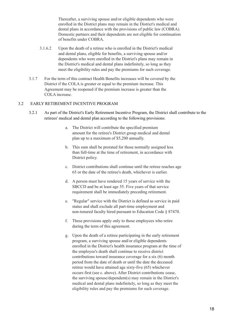Thereafter, a surviving spouse and/or eligible dependents who were enrolled in the District plans may remain in the District's medical and dental plans in accordance with the provisions of public law (COBRA). Domestic partners and their dependents are not eligible for continuation of benefits under COBRA.

- 3.1.6.2 Upon the death of a retiree who is enrolled in the District's medical and dental plans, eligible for benefits, a surviving spouse and/or dependents who were enrolled in the District's plans may remain in the District's medical and dental plans indefinitely, so long as they meet the eligibility rules and pay the premiums for such coverage.
- 3.1.7 For the term of this contract Health Benefits increases will be covered by the District if the COLA is greater or equal to the premium increase. This Agreement may be reopened if the premium increase is greater than the COLA increase.

#### 3.2 EARLY RETIREMENT INCENTIVE PROGRAM

- 3.2.1 As part of the District's Early Retirement Incentive Program, the District shall contribute to the retirees' medical and dental plan according to the following provisions:
	- a. The District will contribute the specified premium amount for the retiree's District group medical and dental plan up to a maximum of \$5,200 annually.
	- b. This sum shall be prorated for those normally assigned less than full-time at the time of retirement, in accordance with District policy.
	- c. District contributions shall continue until the retiree reaches age 65 or the date of the retiree's death, whichever is earlier.
	- d. A person must have rendered 15 years of service with the SBCCD and be at least age 55. Five years of that service requirement shall be immediately preceding retirement.
	- e. "Regular" service with the District is defined as service in paid status and shall exclude all part-time employment and non-tenured faculty hired pursuant to Education Code § 87470.
	- f. These provisions apply only to those employees who retire during the term of this agreement.
	- g. Upon the death of a retiree participating in the early retirement program, a surviving spouse and/or eligible dependents enrolled in the District's health insurance program at the time of the employee's death shall continue to receive district contributions toward insurance coverage for a six (6) month period from the date of death or until the date the deceased retiree would have attained age sixty-five (65) whichever occurs first (see c. above). After District contributions cease, the surviving spouse/dependent(s) may remain in the District's medical and dental plans indefinitely, so long as they meet the eligibility rules and pay the premiums for such coverage.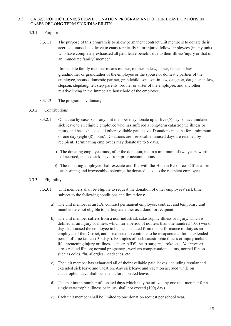#### 3.3 CATASTROPHIC ILLNESS LEAVE DONATION PROGRAM AND OTHER LEAVE OPTIONS IN CASES OF LONG TERM SICK/DISABILITY

#### 3.3.1 Purpose

3.3.1.1 The purpose of this program is to allow permanent contract unit members to donate their accrued, unused sick leave to catastrophically ill or injured fellow employees (in any unit) who have completely exhausted all paid leave benefits due to their illness/injury or that of an immediate family \* member.

> \* Immediate family member means mother, mother-in-law, father, father-in law, grandmother or grandfather of the employee or the spouse or domestic partner of the employee, spouse, domestic partner, grandchild, son, son-in law, daughter, daughter-in-law, stepson, stepdaughter, step-parents, brother or sister of the employee, and any other relative living in the immediate household of the employee.

3.3.1.2 The program is voluntary.

#### 3.3.2 Contributions

- 3.3.2.1 On a case by case basis any unit member may donate up to five (5) days of accumulated sick leave to an eligible employee who has suffered a long-term catastrophic illness or injury and has exhausted all other available paid leave. Donations must be for a minimum of one day (eight (8) hours). Donations are irrevocable; unused days are retained by recipient. Terminating employees may donate up to 5 days.
	- a) The donating employee must, after the donation, retain a minimum of two years' worth of accrued, unused sick leave from prior accumulations.
	- b) The donating employee shall execute and file with the Human Resources Office a form authorizing and irrevocably assigning the donated leave to the recipient employee.

#### 3.3.3 Eligibility

- 3.3.3.1 Unit members shall be eligible to request the donation of other employees' sick time subject to the following conditions and limitations:
	- a) The unit member is an F.A. contract permanent employee; contract and temporary unit members are not eligible to participate either as a donor or recipient.
	- b) The unit member suffers from a non-industrial, catastrophic illness or injury, which is defined as an injury or illness which for a period of not less than one hundred (100) work days has caused the employee to be incapacitated from the performance of duty as an employee of the District, and is expected to continue to be incapacitated for an extended period of time (at least 30 days). Examples of such catastrophic illness or injury include life threatening injury or illness, cancer, AIDS, heart surgery, stroke, etc. *Not covered:* stress related illness; normal pregnancy , workers compensation claims, normal illness such as colds, flu, allergies, headaches, etc.
	- c) The unit member has exhausted all of their available paid leaves, including regular and extended sick leave and vacation. Any sick leave and vacation accrued while on catastrophic leave shall be used before donated leave.
	- d) The maximum number of donated days which may be utilized by one unit member for a single catastrophic illness or injury shall not exceed (100) days.
	- e) Each unit member shall be limited to one donation request per school year.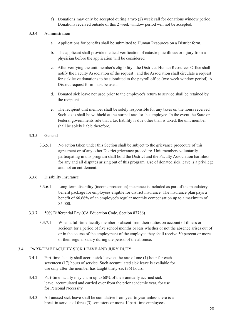f) Donations may only be accepted during a two (2) week call for donations window period. Donations received outside of this 2 week window period will not be accepted.

#### 3.3.4 Administration

- a. Applications for benefits shall be submitted to Human Resources on a District form.
- b. The applicant shall provide medical verification of catastrophic illness or injury from a physician before the application will be considered.
- c. After verifying the unit member's eligibility , the District's Human Resources Office shall notify the Faculty Association of the request , and the Association shall circulate a request for sick leave donations to be submitted to the payroll office (two week window period). A District request form must be used.
- d. Donated sick leave not used prior to the employee's return to service shall be retained by the recipient.
- e. The recipient unit member shall be solely responsible for any taxes on the hours received. Such taxes shall be withheld at the normal rate for the employee. In the event the State or Federal governments rule that a tax liability is due other than is taxed, the unit member shall be solely liable therefore.

## 3.3.5 General

3.3.5.1 No action taken under this Section shall be subject to the grievance procedure of this agreement or of any other District grievance procedure. Unit members voluntarily participating in this program shall hold the District and the Faculty Association harmless for any and all disputes arising out of this program. Use of donated sick leave is a privilege and not an entitlement.

#### 3.3.6 Disability Insurance

- 3.3.6.1 Long-term disability (income protection) insurance is included as part of the mandatory benefit package for employees eligible for district insurance. The insurance plan pays a benefit of 66.66% of an employee's regular monthly compensation up to a maximum of \$5,000.
- 3.3.7 50% Differential Pay (CA Education Code, Section 87786)
	- 3.3.7.1 When a full-time faculty member is absent from their duties on account of illness or accident for a period of five school months or less whether or not the absence arises out of or in the course of the employment of the employee they shall receive 50 percent or more of their regular salary during the period of the absence.

## 3.4 PART-TIME FACULTY SICK LEAVE AND JURY DUTY

- 3.4.1 Part-time faculty shall accrue sick leave at the rate of one (1) hour for each seventeen (17) hours of service. Such accumulated sick leave is available for use only after the member has taught thirty-six (36) hours.
- 3.4.2 Part-time faculty may claim up to 60% of their annually accrued sick leave, accumulated and carried over from the prior academic year, for use for Personal Necessity.
- 3.4.3 All unused sick leave shall be cumulative from year to year unless there is a break in service of three (3) semesters or more. If part-time employees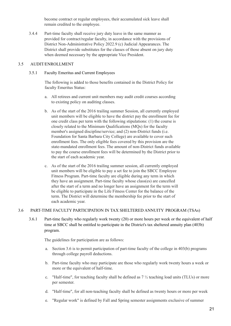become contract or regular employees, their accumulated sick leave shall remain credited to the employee.

3.4.4 Part-time faculty shall receive jury duty leave in the same manner as provided for contract/regular faculty, in accordance with the provisions of District Non-Administrative Policy 2022.9 (c) Judicial Appearances. The District shall provide substitutes for the classes of those absent on jury duty when deemed necessary by the appropriate Vice President.

#### 3.5 AUDIT/ENROLLMENT

3.5.1 Faculty Emeritus and Current Employees

The following is added to those benefits contained in the District Policy for faculty Emeritus Status:

- a. All retirees and current unit members may audit credit courses according to existing policy on auditing classes.
- b. As of the start of the 2016 trailing summer Session, all currently employed unit members will be eligible to have the district pay the enrollment fee for one credit class per term with the following stipulations: (1) the course is closely related to the Minimum Qualifications (MQs) for the faculty member's assigned discipline/service; and (2) non-District funds (i.e. Foundation for Santa Barbara City College) are available to cover such enrollment fees. The only eligible fees covered by this provision are the state-mandated enrollment fees. The amount of non-District funds available to pay the course enrollment fees will be determined by the District prior to the start of each academic year.
- c. As of the start of the 2016 trailing summer session, all currently employed unit members will be eligible to pay a set fee to join the SBCC Employee Fitness Program. Part-time faculty are eligible during any term in which they have an assignment. Part-time faculty whose class(es) are cancelled after the start of a term and no longer have an assignment for the term will be eligible to participate in the Life Fitness Center for the balance of the term. The District will determine the membership fee prior to the start of each academic year.

#### 3.6 PART-TIME FACULTY PARTICIPATION IN TAX SHELTERED ANNUITY PROGRAM (TSAs)

3.6.1 Part-time faculty who regularly work twenty (20) or more hours per week or the equivalent of half time at SBCC shall be entitled to participate in the District's tax sheltered annuity plan (403b) program.

The guidelines for participation are as follows:

- a. Section 3.6 is to permit participation of part-time faculty of the college in 403(b) programs through college payroll deductions.
- b. Part-time faculty who may participate are those who regularly work twenty hours a week or more or the equivalent of half-time.
- c. "Half-time", for teaching faculty shall be defined as  $7\frac{1}{2}$  teaching load units (TLUs) or more per semester.
- d. "Half-time", for all non-teaching faculty shall be defined as twenty hours or more per week
- e. "Regular work" is defined by Fall and Spring semester assignments exclusive of summer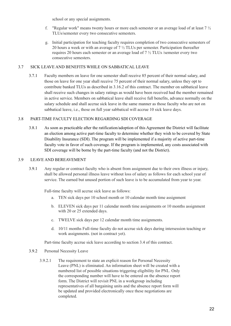school or any special assignments.

- f. "Regular work" means twenty hours or more each semester or an average load of at least  $7\frac{1}{2}$ TLUs/semester every two consecutive semesters.
- g. Initial participation for teaching faculty requires completion of two consecutive semesters of 20 hours a week or with an average of 7 ½ TLUs per semester. Participation thereafter requires 20 hours each semester or an average load of 7 ½ TLUs /semester every two consecutive semesters.

#### 3.7 SICK LEAVE AND BENEFITS WHILE ON SABBATICAL LEAVE

3.7.1 Faculty members on leave for one semester shall receive 85 percent of their normal salary, and those on leave for one year shall receive 75 percent of their normal salary, unless they opt to contribute banked TLUs as described in 3.16.2 of this contract. The member on sabbatical leave shall receive such changes in salary ratings as would have been received had the member remained in active service. Members on sabbatical leave shall receive full benefits, advance normally on the salary schedule and shall accrue sick leave in the same manner as those faculty who are not on sabbatical leave, i.e., those on full year sabbatical will accrue 10 sick leave days.

#### 3.8 PART-TIME FACULTY ELECTION REGARDING SDI COVERAGE

3.8.1 As soon as practicable after the ratification/adoption of this Agreement the District will facilitate an election among active part-time faculty to determine whether they wish to be covered by State Disability Insurance (SDI). The program will be implemented if a majority of active part-time faculty vote in favor of such coverage. If the program is implemented, any costs associated with SDI coverage will be borne by the part-time faculty (and not the District).

#### 3.9 LEAVE AND BEREAVEMENT

3.9.1 Any regular or contract faculty who is absent from assignment due to their own illness or injury, shall be allowed personal illness leave without loss of salary as follows for each school year of service. The earned but unused portion of such leave is to be accumulated from year to year.

Full-time faculty will accrue sick leave as follows:

- a. TEN sick days per 10 school month or 10 calendar month time assignment
- b. ELEVEN sick days per 11 calendar month time assignments or 10 months assignment with 20 or 25 extended days.
- c. TWELVE sick days per 12 calendar month time assignments.
- d. 10/11 months Full-time faculty do not accrue sick days during intersession teaching or work assignments. (not in contract yet).

Part-time faculty accrue sick leave according to section 3.4 of this contract.

- 3.9.2 Personal Necessity Leave
	- 3.9.2.1 The requirement to state an explicit reason for Personal Necessity Leave (PNL) is eliminated. An information sheet will be created with a numbered list of possible situations triggering eligibility for PNL. Only the corresponding number will have to be entered on the absence report form. The District will revisit PNL in a workgroup including representatives of all bargaining units and the absence report form will be updated and provided electronically once these negotiations are completed.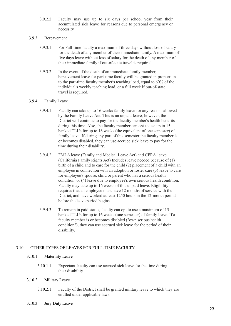3.9.2.2 Faculty may use up to six days per school year from their accumulated sick leave for reasons due to personal emergency or necessity

#### 3.9.3 Bereavement

- 3.9.3.1 For Full-time faculty a maximum of three days without loss of salary for the death of any member of their immediate family. A maximum of five days leave without loss of salary for the death of any member of their immediate family if out-of-state travel is required.
- 3.9.3.2 In the event of the death of an immediate family member, bereavement leave for part-time faculty will be granted in proportion to the part-time faculty member's teaching load, equal to 60% of the individual's weekly teaching load, or a full week if out-of-state travel is required.

#### 3.9.4 Family Leave

- 3.9.4.1 Faculty can take up to 16 weeks family leave for any reasons allowed by the Family Leave Act. This is an unpaid leave, however, the District will continue to pay for the faculty member's health benefits during this time. Also, the faculty member can opt to use up to 15 banked TLUs for up to 16 weeks (the equivalent of one semester) of family leave. If during any part of this semester the faculty member is or becomes disabled, they can use accrued sick leave to pay for the time during their disability.
- 3.9.4.2 FMLA leave (Family and Medical Leave Act) and CFRA leave (California Family Rights Act) Includes leave needed because of (1) birth of a child and to care for the child (2) placement of a child with an employee in connection with an adoption or foster care (3) leave to care for employee's spouse, child or parent who has a serious health condition, or (4) leave due to employee's own serious health condition. Faculty may take up to 16 weeks of this unpaid leave. Eligibility requires that an employee must have 12 months of service with the District, and have worked at least 1250 hours in the 12-month period before the leave period begins.
- 3.9.4.3 To remain in paid status, faculty can opt to use a maximum of 15 banked TLUs for up to 16 weeks (one semester) of family leave. If a faculty member is or becomes disabled ("own serious health condition"), they can use accrued sick leave for the period of their disability.

#### 3.10 OTHER TYPES OF LEAVES FOR FULL-TIME FACULTY

#### 3.10.1 Maternity Leave

3.10.1.1 Expectant faculty can use accrued sick leave for the time during their disability.

#### 3.10.2 Military Leave

- 3.10.2.1 Faculty of the District shall be granted military leave to which they are entitled under applicable laws.
- 3.10.3 Jury Duty Leave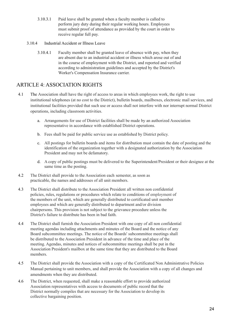- 3.10.3.1 Paid leave shall be granted when a faculty member is called to perform jury duty during their regular working hours. Employees must submit proof of attendance as provided by the court in order to receive regular full pay.
- 3.10.4 Industrial Accident or Illness Leave
	- 3.10.4.1 Faculty member shall be granted leave of absence with pay, when they are absent due to an industrial accident or illness which arose out of and in the course of employment with the District, and reported and verified according to administration guidelines and accepted by the District's Worker's Compensation Insurance carrier.

# ARTICLE 4: ASSOCIATION RIGHTS

- 4.1 The Association shall have the right of access to areas in which employees work, the right to use institutional telephones (at no cost to the District), bulletin boards, mailboxes, electronic mail services, and institutional facilities provided that such use or access shall not interfere with nor interrupt normal District operations, including classroom activities.
	- a. Arrangements for use of District facilities shall be made by an authorized Association representative in accordance with established District operations.
	- b. Fees shall be paid for public service use as established by District policy.
	- c. All postings for bulletin boards and items for distribution must contain the date of posting and the identification of the organization together with a designated authorization by the Association President and may not be defamatory.
	- d. A copy of public postings must be delivered to the Superintendent/President or their designee at the same time as the posting.
- 4.2 The District shall provide to the Association each semester, as soon as practicable, the names and addresses of all unit members.
- 4.3 The District shall distribute to the Association President all written non confidential policies, rules, regulations or procedures which relate to conditions of employment of the members of the unit, which are generally distributed to certificated unit member employees and which are generally distributed to department and/or division chairpersons. This provision is not subject to the grievance procedure unless the District's failure to distribute has been in bad faith.
- 4.4 The District shall furnish the Association President with one copy of all non confidential meeting agendas including attachments and minutes of the Board and the notice of any Board subcommittee meetings. The notice of the Boards' subcommittee meetings shall be distributed to the Association President in advance of the time and place of the meeting. Agendas, minutes and notices of subcommittee meetings shall be put in the Association President's mailbox at the same time that they are distributed to the Board members.
- 4.5 The District shall provide the Association with a copy of the Certificated Non Administrative Policies Manual pertaining to unit members, and shall provide the Association with a copy of all changes and amendments when they are distributed.
- 4.6 The District, when requested, shall make a reasonable effort to provide authorized Association representatives with access to documents of public record that the District normally compiles that are necessary for the Association to develop its collective bargaining position.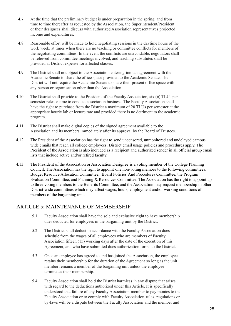- 4.7 At the time that the preliminary budget is under preparation in the spring, and from time to time thereafter as requested by the Association, the Superintendent/President or their designees shall discuss with authorized Association representatives projected income and expenditures.
- 4.8 Reasonable effort will be made to hold negotiating sessions in the daytime hours of the work week, at times when there are no teaching or committee conflicts for members of the negotiating committees. In the event the conflicts are unavoidable, negotiators shall be relieved from committee meetings involved, and teaching substitutes shall be provided at District expense for affected classes.
- 4.9 The District shall not object to the Association entering into an agreement with the Academic Senate to share the office space provided to the Academic Senate. The District will not require the Academic Senate to share their present office space with any person or organization other than the Association.
- 4.10 The District shall provide to the President of the Faculty Association, six (6) TLUs per semester release time to conduct association business. The Faculty Association shall have the right to purchase from the District a maximum of 20 TLUs per semester at the appropriate hourly lab or lecture rate and provided there is no detriment to the academic program.
- 4.11 The District shall make digital copies of the signed agreement available to the Association and its members immediately after its approval by the Board of Trustees.
- 4.12 The President of the Association has the right to send uncensored, unmonitored and undelayed campus wide emails that reach all college employees. District email usage policies and procedures apply. The President of the Association is also included as a recipient and authorized sender in all official group email lists that include active and/or retired faculty.
- 4.13 The President of the Association or Association Designee is a voting member of the College Planning Council. The Association has the right to appoint one non-voting member to the following committees: Budget Resource Allocation Committee, Board Policies And Procedures Committee, the Program Evaluation Committee, and Planning & Resources Committee. The Association has the right to appoint up to three voting members to the Benefits Committee, and the Association may request membership in other District-wide committees which may affect wages, hours, employment and/or working conditions of members of the bargaining unit.

# ARTICLE 5: MAINTENANCE OF MEMBERSHIP

- 5.1 Faculty Association shall have the sole and exclusive right to have membership dues deducted for employees in the bargaining unit by the District.
- 5.2 The District shall deduct in accordance with the Faculty Association dues schedule from the wages of all employees who are members of Faculty Association fifteen (15) working days after the date of the execution of this Agreement, and who have submitted dues authorization forms to the District.
- 5.3 Once an employee has agreed to and has joined the Association, the employee retains their membership for the duration of the Agreement so long as the unit member remains a member of the bargaining unit unless the employee terminates their membership.
- 5.4 Faculty Association shall hold the District harmless in any dispute that arises with regard to the deductions authorized under this Article. It is specifically understood that failure of any Faculty Association member to pay monies to the Faculty Association or to comply with Faculty Association rules, regulations or by-laws will be a dispute between the Faculty Association and the member and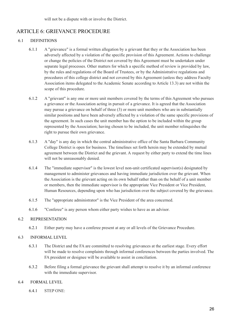# ARTICLE 6: GRIEVANCE PROCEDURE

## 6.1 DEFINITIONS

- 6.1.1 A "grievance" is a formal written allegation by a grievant that they or the Association has been adversely affected by a violation of the specific provision of this Agreement. Actions to challenge or change the policies of the District not covered by this Agreement must be undertaken under separate legal processes. Other matters for which a specific method of review is provided by law, by the rules and regulations of the Board of Trustees, or by the Administrative regulations and procedures of this college district and not covered by this Agreement (unless they address Faculty Association items delegated to the Academic Senate according to Article 13.3) are not within the scope of this procedure.
- 6.1.2 A "grievant" is any one or more unit members covered by the terms of this Agreement who pursues a grievance or the Association acting in pursuit of a grievance. It is agreed that the Association may pursue a grievance on behalf of three (3) or more unit members who are in substantially similar positions and have been adversely affected by a violation of the same specific provisions of the agreement. In such cases the unit member has the option to be included within the group represented by the Association; having chosen to be included, the unit member relinquishes the right to pursue their own grievance.
- 6.1.3 A "day" is any day in which the central administrative office of the Santa Barbara Community College District is open for business. The timelines set forth herein may be extended by mutual agreement between the District and the grievant. A request by either party to extend the time lines will not be unreasonably denied.
- 6.1.4 The "immediate supervisor" is the lowest level non-unit certificated supervisor(s) designated by management to administer grievances and having immediate jurisdiction over the grievant. When the Association is the grievant acting on its own behalf rather than on the behalf of a unit member or members, then the immediate supervisor is the appropriate Vice President or Vice President, Human Resources, depending upon who has jurisdiction over the subject covered by the grievance.
- 6.1.5 The "appropriate administrator" is the Vice President of the area concerned.
- 6.1.6 "Conferee" is any person whom either party wishes to have as an advisor.

#### 6.2 REPRESENTATION

6.2.1 Either party may have a conferee present at any or all levels of the Grievance Procedure.

#### 6.3 INFORMAL LEVEL

- 6.3.1 The District and the FA are committed to resolving grievances at the earliest stage. Every effort will be made to resolve complaints through informal conferences between the parties involved. The FA president or designee will be available to assist in conciliation.
- 6.3.2 Before filing a formal grievance the grievant shall attempt to resolve it by an informal conference with the immediate supervisor.

## 6.4 FORMAL LEVEL

6.4.1 STEP ONE: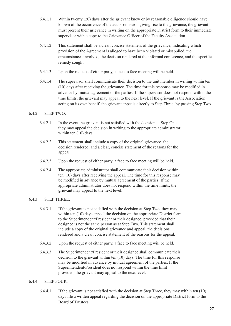- 6.4.1.1 Within twenty (20) days after the grievant knew or by reasonable diligence should have known of the occurrence of the act or omission giving rise to the grievance, the grievant must present their grievance in writing on the appropriate District form to their immediate supervisor with a copy to the Grievance Officer of the Faculty Association.
- 6.4.1.2 This statement shall be a clear, concise statement of the grievance, indicating which provision of the Agreement is alleged to have been violated or misapplied, the circumstances involved, the decision rendered at the informal conference, and the specific remedy sought.
- 6.4.1.3 Upon the request of either party, a face to face meeting will be held.
- 6.4.1.4 The supervisor shall communicate their decision to the unit member in writing within ten (10) days after receiving the grievance. The time for this response may be modified in advance by mutual agreement of the parties. If the supervisor does not respond within the time limits, the grievant may appeal to the next level. If the grievant is the Association acting on its own behalf, the grievant appeals directly to Step Three, by passing Step Two.

#### $6.4.2$  STEP TWO:

- 6.4.2.1 In the event the grievant is not satisfied with the decision at Step One, they may appeal the decision in writing to the appropriate administrator within ten (10) days.
- 6.4.2.2 This statement shall include a copy of the original grievance, the decision rendered, and a clear, concise statement of the reasons for the appeal.
- 6.4.2.3 Upon the request of either party, a face to face meeting will be held.
- 6.4.2.4 The appropriate administrator shall communicate their decision within ten (10) days after receiving the appeal. The time for this response may be modified in advance by mutual agreement of the parties. If the appropriate administrator does not respond within the time limits, the grievant may appeal to the next level.

## 6.4.3 STEP THREE:

- 6.4.3.1 If the grievant is not satisfied with the decision at Step Two, they may within ten (10) days appeal the decision on the appropriate District form to the Superintendent/President or their designee, provided that their designee is not the same person as at Step Two. This statement shall include a copy of the original grievance and appeal, the decisions rendered and a clear, concise statement of the reasons for the appeal.
- 6.4.3.2 Upon the request of either party, a face to face meeting will be held.
- 6.4.3.3 The Superintendent/President or their designee shall communicate their decision to the grievant within ten (10) days. The time for this response may be modified in advance by mutual agreement of the parties. If the Superintendent/President does not respond within the time limit provided, the grievant may appeal to the next level.

#### 6.4.4 STEP FOUR:

6.4.4.1 If the grievant is not satisfied with the decision at Step Three, they may within ten (10) days file a written appeal regarding the decision on the appropriate District form to the Board of Trustees.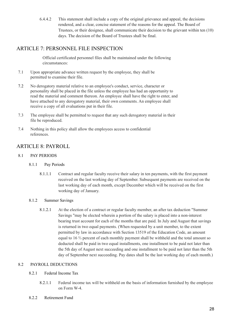6.4.4.2 This statement shall include a copy of the original grievance and appeal, the decisions rendered, and a clear, concise statement of the reasons for the appeal. The Board of Trustees, or their designee, shall communicate their decision to the grievant within ten (10) days. The decision of the Board of Trustees shall be final.

# ARTICLE 7: PERSONNEL FILE INSPECTION

Official certificated personnel files shall be maintained under the following circumstances:

- 7.1 Upon appropriate advance written request by the employee, they shall be permitted to examine their file.
- 7.2 No derogatory material relative to an employee's conduct, service, character or personality shall be placed in the file unless the employee has had an opportunity to read the material and comment thereon. An employee shall have the right to enter, and have attached to any derogatory material, their own comments. An employee shall receive a copy of all evaluations put in their file.
- 7.3 The employee shall be permitted to request that any such derogatory material in their file be reproduced.
- 7.4 Nothing in this policy shall allow the employees access to confidential references.

# ARTICLE 8: PAYROLL

# 8.1 PAY PERIODS

- 8.1.1 Pay Periods
	- 8.1.1.1 Contract and regular faculty receive their salary in ten payments, with the first payment received on the last working day of September. Subsequent payments are received on the last working day of each month, except December which will be received on the first working day of January.
- 8.1.2 Summer Savings
	- 8.1.2.1 At the election of a contract or regular faculty member, an after tax deduction "Summer Savings "may be elected wherein a portion of the salary is placed into a non-interest bearing trust account for each of the months that are paid. In July and August that savings is returned in two equal payments. (When requested by a unit member, to the extent permitted by law in accordance with Section 13519 of the Education Code, an amount equal to 16 ⅔ percent of each monthly payment shall be withheld and the total amount so deducted shall be paid in two equal installments, one installment to be paid not later than the 5th day of August next succeeding and one installment to be paid not later than the 5th day of September next succeeding. Pay dates shall be the last working day of each month.)

## 8.2 PAYROLL DEDUCTIONS

## 8.2.1 Federal Income Tax

- 8.2.1.1 Federal income tax will be withheld on the basis of information furnished by the employee on Form W-4.
- 8.2.2 Retirement Fund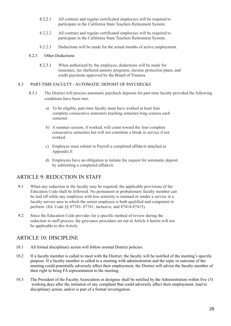- 8.2.2.1 All contract and regular certificated employees will be required to participate in the California State Teachers Retirement System.
- 8.2.2.2 All contract and regular certificated employees will be required to participate in the California State Teachers Retirement System.
- 8.2.2.3 Deductions will be made for the actual months of active employment.

#### 8.2.3 Other Deductions

8.2.3.1 When authorized by the employee, deductions will be made for insurance, tax sheltered annuity programs, income protection plans, and credit payments approved by the Board of Trustees.

#### 8.3 PART-TIME FACULTY - AUTOMATIC DEPOSIT OF PAYCHECKS

- 8.3.1 The District will process automatic paycheck deposits for part-time faculty provided the following conditions have been met:
	- a) To be eligible, part-time faculty must have worked at least four complete consecutive semesters teaching semester-long courses each semester.
	- b) A summer session, if worked, will count toward the four complete consecutive semesters but will not constitute a break in service if not worked.
	- c) Employee must submit to Payroll a completed affidavit attached as Appendix E
	- d) Employees have an obligation to initiate the request for automatic deposit by submitting a completed affidavit.

# ARTICLE 9: REDUCTION IN STAFF

- 9.1 When any reduction in the faculty may be required, the applicable provisions of the Education Code shall be followed. No permanent or probationary faculty member can be laid off while any employee with less seniority is retained or render a service in a faculty service area in which the senior employee is both qualified and competent to perform. (Ed. Code §§ 87743- 87761, inclusive, and 87414-87415).
- 9.2 Since the Education Code provides for a specific method of review during the reduction in staff process, the grievance procedure set out in Article 6 herein will not be applicable to this Article.

# ARTICLE 10: DISCIPLINE

- 10.1 All formal disciplinary action will follow normal District policies.
- 10.2 If a faculty member is called to meet with the District, the faculty will be notified of the meeting's specific purpose. If a faculty member is called to a meeting with administration and the topic or outcome of the meeting could potentially adversely affect their employment, the District will advise the faculty member of their right to bring FA representation to the meeting.
- 10.3 The President of the Faculty Association or designee shall be notified by the Administration within five (5) working days after the initiation of any complaint that could adversely affect their employment, lead to disciplinary action, and/or is part of a formal investigation.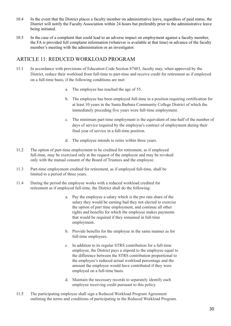- 10.4 In the event that the District places a faculty member on administrative leave, regardless of paid status, the District will notify the Faculty Association within 24 hours but preferably prior to the administrative leave being initiated.
- 10.5 In the case of a complaint that could lead to an adverse impact on employment against a faculty member, the FA is provided full complaint information (whatever is available at that time) in advance of the faculty member's meeting with the administration or an investigator.

# ARTICLE 11: REDUCED WORKLOAD PROGRAM

- 11.1 In accordance with provisions of Education Code Section 87483, faculty may, when approved by the District, reduce their workload from full-time to part-time and receive credit for retirement as if employed on a full-time basis, if the following conditions are met:
	- a. The employee has reached the age of 55.
	- b. The employee has been employed full-time in a position requiring certification for at least 10 years in the Santa Barbara Community College District of which the immediately preceding five years were full-time employment.
	- c. The minimum part-time employment is the equivalent of one-half of the number of days of service required by the employee's contract of employment during their final year of service in a full-time position.
	- d. The employee intends to retire within three years.
- 11.2 The option of part-time employment to be credited for retirement, as if employed full-time, may be exercised only at the request of the employee and may be revoked only with the mutual consent of the Board of Trustees and the employee.
- 11.3 Part-time employment credited for retirement, as if employed full-time, shall be limited to a period of three years.
- 11.4 During the period the employee works with a reduced workload credited for retirement as if employed full-time, the District shall do the following:
	- a. Pay the employee a salary which is the pro rata share of the salary they would be earning had they not elected to exercise the option of part time employment, and continue all other rights and benefits for which the employee makes payments that would be required if they remained in full-time employment.
	- b. Provide benefits for the employee in the same manner as for full-time employees.
	- c. In addition to its regular STRS contribution for a full-time employee, the District pays a stipend to the employee equal to the difference between the STRS contribution proportional to the employee's reduced actual workload percentage and the amount the employee would have contributed if they were employed on a full-time basis.
	- d. Maintain the necessary records to separately identify each employee receiving credit pursuant to this policy.
- 11.5 The participating employee shall sign a Reduced Workload Program Agreement outlining the terms and conditions of participating in the Reduced Workload Program.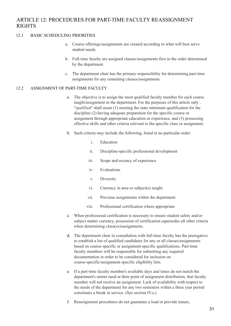# ARTICLE 12: PROCEDURES FOR PART-TIME FACULTY REASSIGNMENT RIGHTS

#### 12.1 BASIC SCHEDULING PRIORITIES

- a. Course offerings/assignments are created according to what will best serve student needs.
- b. Full-time faculty are assigned classes/assignments first in the order determined by the department.
- c. The department chair has the primary responsibility for determining part-time assignments for any remaining classes/assignments.

#### 12.2 ASSIGNMENT OF PART-TIME FACULTY

- a. The objective is to assign the most qualified faculty member for each course taught/assignment in the department. For the purposes of this article only , "qualified" shall mean (1) meeting the state minimum qualification for the discipline (2) having adequate preparation for the specific course or assignment through appropriate education or experience, and (3) possessing effective skills and other criteria relevant to the specific class or assignment.
- b. Such criteria may include the following, listed in no particular order:
	- i. Education
	- ii. Discipline-specific professional development
	- iii. Scope and recency of experience
	- iv. Evaluations
	- v. Diversity
	- vi. Currency in area or subject(s) taught
	- vii. Previous assignments within the department
	- viii. Professional certification where appropriate
- c. When professional certification is necessary to ensure student safety and/or subject matter currency, possession of certification supersedes all other criteria when determining class(es)/assignments.
- d. The department chair in consultation with full-time faculty has the prerogative to establish a list of qualified candidates for any or all classes/assignments based on course-specific or assignment-specific qualifications. Part-time faculty members will be responsible for submitting any required documentation in order to be considered for inclusion on course-specific/assignment-specific eligibility lists.
- e. If a part-time faculty member's available days and times do not match the department's unmet need at their point of assignment distribution, that faculty member will not receive an assignment. Lack of availability with respect to the needs of the department for any two semesters within a three year period constitutes a break in service. (See section IV.a.)
- f. Reassignment procedures do not guarantee a load or provide tenure,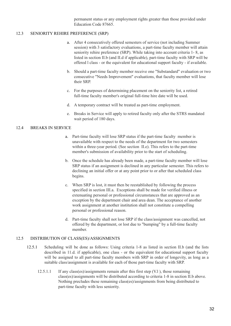permanent status or any employment rights greater than those provided under Education Code 87665.

#### 12.3 SENIORITY REHIRE PREFERENCE (SRP)

- a. After 4 consecutively offered semesters of service (not including Summer session) with 3 satisfactory evaluations, a part-time faculty member will attain seniority rehire preference (SRP). While taking into account criteria 1- 8, as listed in section II.b (and II.d if applicable), part-time faculty with SRP will be offered l class - or the equivalent for educational support faculty - if available.
- b. Should a part-time faculty member receive one "Substandard" evaluation or two consecutive "Needs Improvement" evaluations, that faculty member will lose their SRP.
- c. For the purposes of determining placement on the seniority list, a retired full-time faculty member's original full-time hire date will be used.
- d. A temporary contract will be treated as part-time employment.
- e. Breaks in Service will apply to retired faculty only after the STRS mandated wait period of 180 days.

#### 12.4 BREAKS IN SERVICE

- a. Part-time faculty will lose SRP status if the part-time faculty member is unavailable with respect to the needs of the department for two semesters within a three-year period. (See section II.e). This refers to the part-time member's submission of availability prior to the start of scheduling.
- b. Once the schedule has already been made, a part-time faculty member will lose SRP status if an assignment is declined in any particular semester. This refers to declining an initial offer or at any point prior to or after that scheduled class begins.
- c. When SRP is lost, it must then be reestablished by following the process specified in section III.a. Exceptions shall be made for verified illness or extenuating personal or professional circumstances that are approved as an exception by the department chair and area dean. The acceptance of another work assignment at another institution shall not constitute a compelling personal or professional reason.
- d. Part-time faculty shall not lose SRP if the class/assignment was cancelled, not offered by the department, or lost due to "bumping" by a full-time faculty member.

#### 12.5 DISTRIBUTION OF CLASS(ES)/ASSIGNMENTS

- 12.5.1 Scheduling will be done as follows: Using criteria 1-8 as listed in section II.b (and the lists described in 11.d. if applicable), one class - or the equivalent for educational support faculty will be assigned to all part-time faculty members with SRP in order of longevity, as long as a suitable class/assignment is available for each of those part-time faculty with SRP.
	- 12.5.1.1 If any class(es)/assignments remain after this first step (V.l ), those remaining class(es)/assignments will be distributed according to criteria 1-8 in section II.b above. Nothing precludes these remaining class(es)/assignments from being distributed to part-time faculty with less seniority.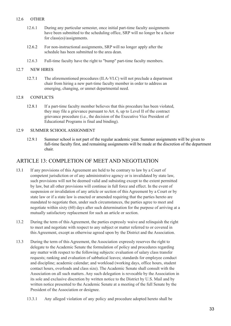### 12.6 OTHER

- 12.6.1 During any particular semester, once initial part-time faculty assignments have been submitted to the scheduling office, SRP will no longer be a factor for class(es)/assignments.
- 12.6.2 For non-instructional assignments, SRP will no longer apply after the schedule has been submitted to the area dean.
- 12.6.3 Full-time faculty have the right to "bump" part-time faculty members.

#### 12.7 NEW HIRES

12.7.1 The aforementioned procedures (II.A-VI.C) will not preclude a department chair from hiring a new part-time faculty member in order to address an emerging, changing, or unmet departmental need.

#### 12.8 CONFLICTS

12.8.1 If a part-time faculty member believes that this procedure has been violated, they may file a grievance pursuant to Art. 6, up to Level II of the contract grievance procedure (i.e., the decision of the Executive Vice President of Educational Programs is final and binding).

#### 12.9 SUMMER SCHOOL ASSIGNMENT

12.9.1 Summer school is not part of the regular academic year. Summer assignments will be given to full-time faculty first, and remaining assignments will be made at the discretion of the department chair.

# ARTICLE 13: COMPLETION OF MEET AND NEGOTIATION

- 13.1 If any provisions of this Agreement are held to be contrary to law by a Court of competent jurisdiction or of any administrative agency or is invalidated by state law, such provisions will not be deemed valid and subsisting except to the extent permitted by law, but all other provisions will continue in full force and effect. In the event of suspension or invalidation of any article or section of this Agreement by a Court or by state law or if a state law is enacted or amended requiring that the parties hereto are mandated to negotiate then, under such circumstances, the parties agree to meet and negotiate within sixty (60) days after such determination for the purpose of arriving at a mutually satisfactory replacement for such an article or section.
- 13.2 During the term of this Agreement, the parties expressly waive and relinquish the right to meet and negotiate with respect to any subject or matter referred to or covered in this Agreement, except as otherwise agreed upon by the District and the Association.
- 13.3 During the term of this Agreement, the Association expressly reserves the right to delegate to the Academic Senate the formulation of policy and procedures regarding any matter with respect to the following subjects: evaluation of salary class transfer requests; ranking and evaluation of sabbatical leaves; standards for employee conduct and discipline; academic calendar; and workload (working days, office hours, student contact hours, overloads and class size). The Academic Senate shall consult with the Association on all such matters. Any such delegation is revocable by the Association in its sole and exclusive discretion by written notice to the District by U.S. Mail and by written notice presented to the Academic Senate at a meeting of the full Senate by the President of the Association or designee.
	- 13.3.1 Any alleged violation of any policy and procedure adopted hereto shall be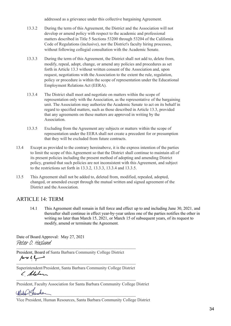addressed as a grievance under this collective bargaining Agreement.

- 13.3.2 During the term of this Agreement, the District and the Association will not develop or amend policy with respect to the academic and professional matters described in Title 5 Sections 53200 through 53204 of the California Code of Regulations (inclusive), nor the District's faculty hiring processes, without following collegial consultation with the Academic Senate.
- 13.3.3 During the term of this Agreement, the District shall not add to, delete from, modify, repeal, adopt, change, or amend any policies and procedures as set forth in Article 13.3 without written consent of the Association and, upon request, negotiations with the Association to the extent the rule, regulation, policy or procedure is within the scope of representation under the Educational Employment Relations Act (EERA).
- 13.3.4 The District shall meet and negotiate on matters within the scope of representation only with the Association, as the representative of the bargaining unit. The Association may authorize the Academic Senate to act on its behalf in regard to specified matters, such as those described in Article 13.3, provided that any agreements on these matters are approved in writing by the Association.
- 13.3.5 Excluding from the Agreement any subjects or matters within the scope of representation under the EERA shall not create a precedent for or presumption that they will be excluded from future contracts.
- 13.4 Except as provided to the contrary hereinabove, it is the express intention of the parties to limit the scope of this Agreement so that the District shall continue to maintain all of its present policies including the present method of adopting and amending District policy, granted that such policies are not inconsistent with this Agreement, and subject to the restrictions set forth in 13.3.2, 13.3.3, 13.3.4 and 13.3.5.
- 13.5 This Agreement shall not be added to, deleted from, modified, repealed, adopted, changed, or amended except through the mutual written and signed agreement of the District and the Association.

# ARTICLE 14: TERM

14.1 This Agreement shall remain in full force and effect up to and including June 30, 2021, and thereafter shall continue in effect year-by-year unless one of the parties notifies the other in writing no later than March 15, 2021, or March 15 of subsequent years, of its request to modify, amend or terminate the Agreement.

Date of Board Approval: May 27, 2021 [\\_\\_\\_\\_\\_\\_\\_\\_\\_\\_\\_\\_\\_\\_\\_\\_\\_\\_\\_\\_\\_\\_\\_\\_\\_\\_\\_\\_\\_\\_\\_\\_\\_\\_\\_\\_\\_\\_\\_](https://na2.documents.adobe.com/verifier?tx=CBJCHBCAABAAaCGwd_Klyma1O3sle-aNTJXyiCKrW3_E)\_\_\_\_\_\_\_\_\_\_\_\_\_\_\_\_\_ Peter O. Haslund

President, Board of Santa Barbara Community College District  $\mathcal{L}$  and  $\mathcal{L}$  and  $\mathcal{L}$  are the set of the set of the set of the set of the set of the set of the set of the set of the set of the set of the set of the set of the set of the set of the set of the set of the se

Superintendent/President, Santa Barbara Community College District ( Aleben

 $\mathcal{L}_\text{max} = \frac{1}{2} \sum_{i=1}^n \mathcal{L}_\text{max}(\mathbf{z}_i - \mathbf{z}_i)$ 

President, Faculty Association for Santa Barbara Community College District

 $\mathcal{A}$ 

Vice President, Human Resources, Santa Barbara Community College District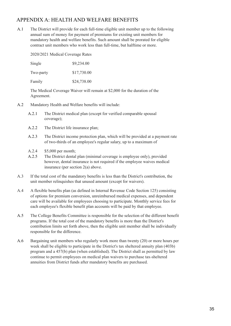# APPENDIX A: HEALTH AND WELFARE BENEFITS

A.1 The District will provide for each full-time eligible unit member up to the following annual sum of money for payment of premiums for existing unit members for mandatory health and welfare benefits. Such amount shall be prorated for eligible contract unit members who work less than full-time, but halftime or more.

2020/2021 Medical Coverage Rates

| Single    | \$9,234.00  |
|-----------|-------------|
| Two-party | \$17,730.00 |

Family \$24,738.00

The Medical Coverage Waiver will remain at \$2,000 for the duration of the Agreement.

- A.2 Mandatory Health and Welfare benefits will include:
	- A.2.1 The District medical plan (except for verified comparable spousal coverage);
	- A.2.2 The District life insurance plan;
	- A.2.3 The District income protection plan, which will be provided at a payment rate of two-thirds of an employee's regular salary, up to a maximum of
	- A.2.4 \$5,000 per month;
	- A.2.5 The District dental plan (minimal coverage is employee only), provided however, dental insurance is not required if the employee waives medical insurance (per section 2(a) above.
- A.3 If the total cost of the mandatory benefits is less than the District's contribution, the unit member relinquishes that unused amount (except for waivers).
- A.4 A flexible benefits plan (as defined in Internal Revenue Code Section 125) consisting of options for premium conversion, unreimbursed medical expenses, and dependent care will be available for employees choosing to participate. Monthly service fees for each employee's flexible benefit plan accounts will be paid by that employee.
- A.5 The College Benefits Committee is responsible for the selection of the different benefit programs. If the total cost of the mandatory benefits is more than the District's contribution limits set forth above, then the eligible unit member shall be individually responsible for the difference.
- A.6 Bargaining unit members who regularly work more than twenty (20) or more hours per week shall be eligible to participate in the District's tax sheltered annuity plan (403b) program and a 457(b) plan (when established). The District shall as permitted by law continue to permit employees on medical plan waivers to purchase tax-sheltered annuities from District funds after mandatory benefits are purchased.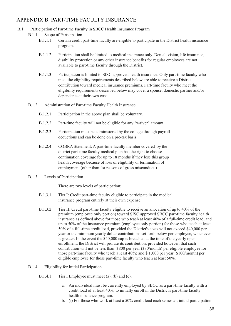# APPENDIX B: PART-TIME FACULTY INSURANCE

## B.1 Participation of Part-time Faculty in SBCC Health Insurance Program

- B.1.1 Scope of Participation
	- B.1.1.1 Certain credit part-time faculty are eligible to participate in the District health insurance program.
	- B.1.1.2 Participation shall be limited to medical insurance only. Dental, vision, life insurance, disability protection or any other insurance benefits for regular employees are not available to part-time faculty through the District.
	- B.1.1.3 Participation is limited to SISC approved health insurance. Only part-time faculty who meet the eligibility requirements described below are able to receive a District contribution toward medical insurance premiums. Part-time faculty who meet the eligibility requirements described below may cover a spouse, domestic partner and/or dependents at their own cost.
- B.1.2 Administration of Part-time Faculty Health Insurance
	- B.1.2.1 Participation in the above plan shall be voluntary.
	- B.1.2.2 Part-time faculty will not be eligible for any "waiver" amount.
	- B.1.2.3 Participation must be administered by the college through payroll deductions and can be done on a pre-tax basis.
	- B.1.2.4 COBRA Statement: A part-time faculty member covered by the district part-time faculty medical plan has the right to choose continuation coverage for up to 18 months if they lose this group health coverage because of loss of eligibility or termination of employment (other than for reasons of gross misconduct.)
- B.1.3 Levels of Participation

There are two levels of participation:

- B.1.3.1 Tier I: Credit part-time faculty eligible to participate in the medical insurance program entirely at their own expense.
- B.1.3.2 Tier II: Credit part-time faculty eligible to receive an allocation of up to 40% of the premium (employee only portion) toward SISC approved SBCC part-time faculty health insurance as defined above for those who teach at least 40% of a full-time credit load, and up to 50% of the insurance premium (employee only portion) for those who teach at least 50% of a full-time credit load, provided the District's costs will not exceed \$40,000 per year or the minimum yearly dollar contributions set forth below per employee, whichever is greater. In the event the \$40,000 cap is breached at the time of the yearly open enrollment, the District will prorate its contribution, provided however, that such contribution will not be less than: \$800 per year (\$80/month) per eligible employee for those part-time faculty who teach a least 40%; and \$ I ,000 per year (\$100/month) per eligible employee for those part-time faculty who teach at least 50%.
- B.1.4 Eligibility for Initial Participation
	- B.1.4.1 Tier I Employee must meet (a), (b) and (c).
		- a. An individual must be currently employed by SBCC as a part-time faculty with a credit load of at least 40%, to initially enroll in the District's part-time faculty health insurance program.
		- b. (i) For those who work at least a 50% credit load each semester, initial participation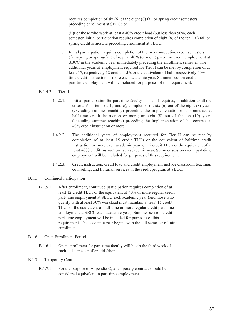requires completion of six (6) of the eight (8) fall or spring credit semesters preceding enrollment at SBCC; or

(ii)For those who work at least a 40% credit load (but less than 50%) each semester, initial participation requires completion of eight (8) of the ten (10) fall or spring credit semesters preceding enrollment at SBCC.

- c. Initial participation requires completion of the two consecutive credit semesters (fall/spring or spring/fall) of regular 40% (or more) part-time credit employment at SBCC in the academic year immediately preceding the enrollment semester. The additional years of employment required for Tier II can be met by completion of at least 15, respectively 12 credit TLUs or the equivalent of half, respectively 40% time credit instruction or more each academic year. Summer session credit part-time employment will be included for purposes of this requirement.
- B.1.4.2 Tier II
	- 1.4.2.1. Initial participation for part-time faculty in Tier II requires, in addition to all the criteria for Tier I (a, b, and c), completion of: six  $(6)$  out of the eight  $(8)$  years (excluding summer teaching) preceding the implementation of this contract at half-time credit instruction or more; or eight (8) out of the ten (10) years (excluding summer teaching) preceding the implementation of this contract at 40% credit instruction or more.
	- 1.4.2.2. The additional years of employment required for Tier II can be met by completion of at least 15 credit TLUs or the equivalent of halftime credit instruction or more each academic year, or 12 credit TLUs or the equivalent of at least 40% credit instruction each academic year. Summer session credit part-time employment will be included for purposes of this requirement.
	- 1.4.2.3. Credit instruction, credit load and credit employment include classroom teaching, counseling, and librarian services in the credit program at SBCC.

#### B.1.5 Continued Participation

B.1.5.1 After enrollment, continued participation requires completion of at least 12 credit TLUs or the equivalent of 40% or more regular credit part-time employment at SBCC each academic year (and those who qualify with at least 50% workload must maintain at least 15 credit TLUs or the equivalent of half time or more regular credit part-time employment at SBCC each academic year). Summer session credit part-time employment will be included for purposes of this requirement. The academic year begins with the fall semester of initial enrollment.

#### B.1.6 Open Enrollment Period

B.1.6.1 Open enrollment for part-time faculty will begin the third week of each fall semester after adds/drops.

#### B.1.7 Temporary Contracts

B.1.7.1 For the purpose of Appendix C, a temporary contract should be considered equivalent to part-time employment.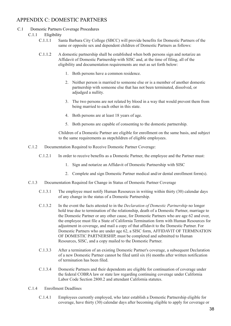# APPENDIX C: DOMESTIC PARTNERS

#### C.1 Domestic Partners Coverage Procedures

- C.1.1 Eligibility
	- C.1.1.1 Santa Barbara City College (SBCC) will provide benefits for Domestic Partners of the same or opposite sex and dependent children of Domestic Partners as follows:
	- C.1.1.2 A domestic partnership shall be established when both persons sign and notarize an Affidavit of Domestic Partnership with SISC and, at the time of filing, all of the eligibility and documentation requirements are met as set forth below:
		- 1. Both persons have a common residence.
		- 2. Neither person is married to someone else or is a member of another domestic partnership with someone else that has not been terminated, dissolved, or adjudged a nullity.
		- 3. The two persons are not related by blood in a way that would prevent them from being married to each other in this state.
		- 4. Both persons are at least 18 years of age.
		- 5. Both persons are capable of consenting to the domestic partnership.

Children of a Domestic Partner are eligible for enrollment on the same basis, and subject to the same requirements as stepchildren of eligible employees.

- C.1.2 Documentation Required to Receive Domestic Partner Coverage:
	- C.1.2.1 In order to receive benefits as a Domestic Partner, the employee and the Partner must:
		- 1. Sign and notarize an Affidavit of Domestic Partnership with SISC
		- 2. Complete and sign Domestic Partner medical and/or dental enrollment form(s).
- C.1.3 Documentation Required for Change in Status of Domestic Partner Coverage
	- C.1.3.1 The employee must notify Human Resources in writing within thirty (30) calendar days of any change in the status of a Domestic Partnership.
	- C.1.3.2 In the event the facts attested to in the *Declaration of Domestic Partnership* no longer hold true due to termination of the relationship, death of a Domestic Partner, marriage to the Domestic Partner or any other cause, for Domestic Partners who are age 62 and over, the employee must file a State of California Termination form with Human Resources for adjustment in coverage, and mail a copy of that affidavit to the Domestic Partner. For Domestic Partners who are under age 62, a SISC form, AFFIDAVIT OF TERMINATION OF DOMESTIC PARTNERSHIP, must be completed and submitted to Human Resources, SISC, and a copy mailed to the Domestic Partner.
	- C.1.3.3 After a termination of an existing Domestic Partner's coverage, a subsequent Declaration of a new Domestic Partner cannot be filed until six (6) months after written notification of termination has been filed.
	- C.1.3.4 Domestic Partners and their dependents are eligible for continuation of coverage under the federal COBRA law or state law regarding continuing coverage under California Labor Code Section 2800.2 and attendant California statutes.
- C.1.4 Enrollment Deadlines
	- C.1.4.1 Employees currently employed, who later establish a Domestic Partnership eligible for coverage, have thirty (30) calendar days after becoming eligible to apply for coverage or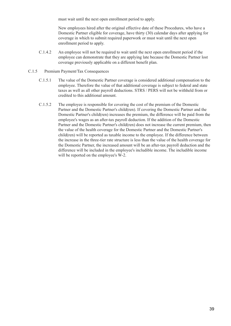must wait until the next open enrollment period to apply.

New employees hired after the original effective date of these Procedures, who have a Domestic Partner eligible for coverage, have thirty (30) calendar days after applying for coverage in which to submit required paperwork or must wait until the next open enrollment period to apply.

- C.1.4.2 An employee will not be required to wait until the next open enrollment period if the employee can demonstrate that they are applying late because the Domestic Partner lost coverage previously applicable on a different benefit plan.
- C.1.5 Premium Payment/Tax Consequences
	- C.1.5.1 The value of the Domestic Partner coverage is considered additional compensation to the employee. Therefore the value of that additional coverage is subject to federal and state taxes as well as all other payroll deductions. STRS / PERS will not be withheld from or credited to this additional amount.
	- C.1.5.2 The employee is responsible for covering the cost of the premium of the Domestic Partner and the Domestic Partner's child(ren). If covering the Domestic Partner and the Domestic Partner's child(ren) increases the premium, the difference will be paid from the employee's wages as an after-tax payroll deduction. If the addition of the Domestic Partner and the Domestic Partner's child(ren) does not increase the current premium, then the value of the health coverage for the Domestic Partner and the Domestic Partner's child(ren) will be reported as taxable income to the employee. If the difference between the increase in the three-tier rate structure is less than the value of the health coverage for the Domestic Partner, the increased amount will be an after-tax payroll deduction and the difference will be included in the employee's includible income. The includible income will be reported on the employee's W-2.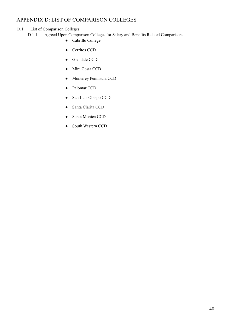# APPENDIX D: LIST OF COMPARISON COLLEGES

# D.1 List of Comparison Colleges

- D.1.1 Agreed Upon Comparison Colleges for Salary and Benefits Related Comparisons
	- Cabrillo College
	- Cerritos CCD
	- Glendale CCD
	- Mira Costa CCD
	- Monterey Peninsula CCD
	- Palomar CCD
	- San Luis Obispo CCD
	- Santa Clarita CCD
	- Santa Monica CCD
	- South Western CCD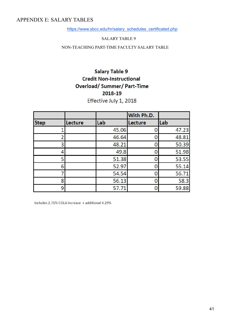# APPENDIX E: SALARY TABLES

[https://www.sbcc.edu/hr/salary\\_schedules\\_certificated.php](https://www.sbcc.edu/hr/salary_schedules_certificated.php)

#### SALARY TABLE 9

NON-TEACHING PART-TIME FACULTY SALARY TABLE

# Salary Table 9 **Credit Non-Instructional Overload/Summer/Part-Time** 2018-19

Effective July 1, 2018

|             |         |       | With Ph.D. |       |
|-------------|---------|-------|------------|-------|
| <b>Step</b> | Lecture | Lab   | Lecture    | Lab   |
|             |         | 45.06 |            | 47.23 |
|             |         | 46.64 |            | 48.81 |
| 3           |         | 48.21 |            | 50.39 |
|             |         | 49.8  |            | 51.98 |
| 5           |         | 51.38 |            | 53.55 |
| 6           |         | 52.97 |            | 55.14 |
|             |         | 54.54 |            | 56.71 |
| 8           |         | 56.13 |            | 58.3  |
| 9           |         | 57.71 |            | 59.88 |

Includes 2.71% COLA increase + additional 4.29%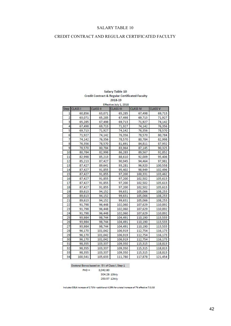# CREDIT CONTRACT AND REGULAR CERTIFICATED FACULTY

| Step                    | <b>CLASS I</b> | <b>CLASS II</b> | <b>CLASS III</b> | <b>CLASS IV</b> | <b>CLASS V</b> |
|-------------------------|----------------|-----------------|------------------|-----------------|----------------|
| 1                       | 60,856         | 63,071          | 65,285           | 67,498          | 69,713         |
| $\overline{\mathbf{c}}$ | 63,071         | 65,285          | 67,498           | 69,713          | 71,927         |
| 3                       | 65,285         | 67,498          | 69,713           | 71,927          | 74,142         |
| 4                       | 67,498         | 69,713          | 71,927           | 74,142          | 76,356         |
| 5                       | 69,713         | 71,927          | 74,142           | 76,356          | 78,570         |
| 6                       | 71,927         | 74,142          | 76,356           | 78,570          | 80,784         |
| 7                       | 74,142         | 76,356          | 78,570           | 80,784          | 82,998         |
| 8                       | 76,356         | 78,570          | 81,691           | 84,811          | 87,932         |
| 9                       | 78,570         | 80,784          | 83,964           | 87,145          | 90,325         |
| 10                      | 80,784         | 82,998          | 86,283           | 89,567          | 92,852         |
| 11                      | 82,998         | 85,213          | 88,610           | 92,009          | 95,406         |
| 12                      | 85,213         | 87,427          | 90,945           | 94,464          | 97,981         |
| 13                      | 87,427         | 89,641          | 93,281           | 96,920          | 100,558        |
| 14                      | 87,427         | 91,855          | 95,402           | 98,949          | 102,496        |
| 15                      | 87,427         | 91,855          | 97,200           | 100,331         | 103,462        |
| 16                      | 87,427         | 91,855          | 97,200           | 102,502         | 105,613        |
| 17                      | 87,427         | 91,855          | 97,200           | 102,502         | 105,613        |
| 18                      | 87,427         | 91,855          | 97,200           | 102,502         | 105,613        |
| 19                      | 89,613         | 94,152          | 99,631           | 105,066         | 108,253        |
| 20                      | 89,613         | 94,152          | 99,631           | 105,066         | 108,253        |
| 21                      | 89,613         | 94,152          | 99,631           | 105,066         | 108,253        |
| 22                      | 91,798         | 96,448          | 102,060          | 107,629         | 110,892        |
| 23                      | 91,798         | 96,448          | 102,060          | 107,629         | 110,892        |
| 24                      | 91,798         | 96,448          | 102,060          | 107,629         | 110,892        |
| 25                      | 93,984         | 98,744          | 104,491          | 110,190         | 113,533        |
| 26                      | 93,984         | 98,744          | 104,491          | 110,190         | 113,533        |
| 27                      | 93,984         | 98,744          | 104,491          | 110,190         | 113,533        |
| 28                      | 96,170         | 101,042         | 106,919          | 112,754         | 116,173        |
| 29                      | 96,170         | 101,042         | 106,919          | 112,754         | 116,173        |
| 30                      | 96,170         | 101,042         | 106,919          | 112,754         | 116,173        |
| 31                      | 98,355         | 103,337         | 109,350          | 115,315         | 118,813        |
| 32                      | 98,355         | 103,337         | 109,350          | 115,315         | 118,813        |
| 33                      | 98,355         | 103,337         | 109,350          | 115,315         | 118,813        |
| 34                      | 100,541        | 105,633         | 111,780          | 117,878         | 121,454        |

## Salary Table 10 **Credit Contract & Regular Certificated Faculty** 2018-19

Doctoral Bonus based on 5% of Class I, Step 1  $PHD = 3,042.80$ 304.28 10thly

253.57 12thly

Includes COLA increase of 2.71% + additional 4.29% for a total increase of 7% effective 7/1/18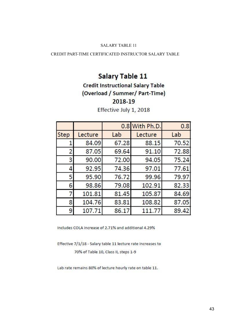# CREDIT PART-TIME CERTIFICATED INSTRUCTOR SALARY TABLE

# **Salary Table 11**

# **Credit Instructional Salary Table** (Overload / Summer/ Part-Time) 2018-19

|             |         | 0.8   | With Ph.D. | 0.8   |
|-------------|---------|-------|------------|-------|
| <b>Step</b> | Lecture | Lab   | Lecture    | Lab   |
| 1           | 84.09   | 67.28 | 88.15      | 70.52 |
| 2           | 87.05   | 69.64 | 91.10      | 72.88 |
| 3           | 90.00   | 72.00 | 94.05      | 75.24 |
| 4           | 92.95   | 74.36 | 97.01      | 77.61 |
| 5           | 95.90   | 76.72 | 99.96      | 79.97 |
| 6           | 98.86   | 79.08 | 102.91     | 82.33 |
| 7           | 101.81  | 81.45 | 105.87     | 84.69 |
| 8           | 104.76  | 83.81 | 108.82     | 87.05 |
| 9           | 107.71  | 86.17 | 111.77     | 89.42 |

Effective July 1, 2018

Includes COLA increase of 2.71% and additional 4.29%

Effective 7/1/18 - Salary table 11 lecture rate increases to 70% of Table 10, Class II, steps 1-9

Lab rate remains 80% of lecture hourly rate on table 11.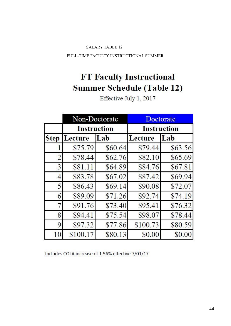FULL-TIME FACULTY INSTRUCTIONAL SUMMER

# **FT Faculty Instructional Summer Schedule (Table 12)**

|                | Non-Doctorate |                    | Doctorate          |         |  |
|----------------|---------------|--------------------|--------------------|---------|--|
|                |               | <b>Instruction</b> | <b>Instruction</b> |         |  |
| <b>Step</b>    | Lecture       | Lab                | Lecture            | Lab     |  |
|                | \$75.79       | \$60.64            | \$79.44            | \$63.56 |  |
| $\overline{2}$ | \$78.44       | \$62.76            | \$82.10            | \$65.69 |  |
| 3              | \$81.11       | \$64.89            | \$84.76            | \$67.81 |  |
| 4              | \$83.78       | \$67.02            | \$87.42            | \$69.94 |  |
| 5              | \$86.43       | \$69.14            | \$90.08            | \$72.07 |  |
| 6              | \$89.09       | \$71.26            | \$92.74            | \$74.19 |  |
| 7              | \$91.76       | \$73.40            | \$95.41            | \$76.32 |  |
| 8              | \$94.41       | \$75.54            | \$98.07            | \$78.44 |  |
| 9              | \$97.32       | \$77.86            | \$100.73           | \$80.59 |  |
| 10             | \$100.17      | \$80.13            | \$0.00             | \$0.00  |  |

Effective July 1, 2017

Includes COLA increase of 1.56% effective 7/01/17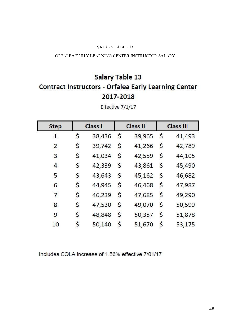## ORFALEA EARLY LEARNING CENTER INSTRUCTOR SALARY

# **Salary Table 13 Contract Instructors - Orfalea Early Learning Center** 2017-2018

| <b>Step</b>    | Class I |        |             | <b>Class II</b> |             | <b>Class III</b> |
|----------------|---------|--------|-------------|-----------------|-------------|------------------|
| $\mathbf{1}$   | \$      | 38,436 | $\varsigma$ | 39,965          | $\varsigma$ | 41,493           |
| $\overline{2}$ | \$      | 39,742 | \$          | 41,266          | \$          | 42,789           |
| 3              | \$      | 41,034 | \$          | 42,559          | \$          | 44,105           |
| $\overline{4}$ | \$      | 42,339 | \$          | 43,861          | \$          | 45,490           |
| 5              | \$      | 43,643 | \$          | 45,162          | \$          | 46,682           |
| 6              | \$      | 44,945 | \$          | 46,468          | \$          | 47,987           |
| 7              | \$      | 46,239 | \$          | 47,685          | \$          | 49,290           |
| 8              | \$      | 47,530 | \$          | 49,070          | \$          | 50,599           |
| 9              | \$      | 48,848 | \$          | 50,357          | \$          | 51,878           |
| 10             | \$      | 50,140 | \$          | 51,670          | \$          | 53,175           |

Effective 7/1/17

Includes COLA increase of 1.56% effective 7/01/17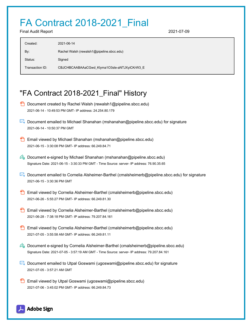# FA Contract 2018-2021\_Final

Final Audit Report 2021-07-09

| Created:        | 2021-06-14                                   |
|-----------------|----------------------------------------------|
| By:             | Rachel Walsh (rewalsh1@pipeline.sbcc.edu)    |
| Status:         | Signed                                       |
| Transaction ID: | CBJCHBCAABAAaCGwd_Klyma1O3sle-aNTJXyiCKrW3_E |

# "FA Contract 2018-2021\_Final" History

- **D** Document created by Rachel Walsh (rewalsh1@pipeline.sbcc.edu) 2021-06-14 - 10:49:53 PM GMT- IP address: 24.254.80.179
- Document emailed to Michael Shanahan (mshanahan@pipeline.sbcc.edu) for signature 2021-06-14 - 10:50:37 PM GMT
- Email viewed by Michael Shanahan (mshanahan@pipeline.sbcc.edu) 2021-06-15 - 3:30:08 PM GMT- IP address: 66.249.84.71
- $\mathcal{O}_0$  Document e-signed by Michael Shanahan (mshanahan@pipeline.sbcc.edu) Signature Date: 2021-06-15 - 3:30:33 PM GMT - Time Source: server- IP address: 76.90.35.65
- Document emailed to Cornelia Alsheimer-Barthel (cmalsheimerb@pipeline.sbcc.edu) for signature 2021-06-15 - 3:30:36 PM GMT
- **Email viewed by Cornelia Alsheimer-Barthel (cmalsheimerb@pipeline.sbcc.edu)** 2021-06-26 - 5:55:27 PM GMT- IP address: 66.249.81.30
- **B** Email viewed by Cornelia Alsheimer-Barthel (cmalsheimerb@pipeline.sbcc.edu) 2021-06-28 - 7:38:18 PM GMT- IP address: 79.207.84.161
- **Email viewed by Cornelia Alsheimer-Barthel (cmalsheimerb@pipeline.sbcc.edu)** 2021-07-05 - 3:55:58 AM GMT- IP address: 66.249.81.11
- **Document e-signed by Cornelia Alsheimer-Barthel (cmalsheimerb@pipeline.sbcc.edu)** Signature Date: 2021-07-05 - 3:57:19 AM GMT - Time Source: server- IP address: 79.207.84.161
- Document emailed to Utpal Goswami (ugoswami@pipeline.sbcc.edu) for signature 2021-07-05 - 3:57:21 AM GMT
- **Email viewed by Utpal Goswami (ugoswami@pipeline.sbcc.edu)** 2021-07-06 - 3:45:02 PM GMT- IP address: 66.249.84.73